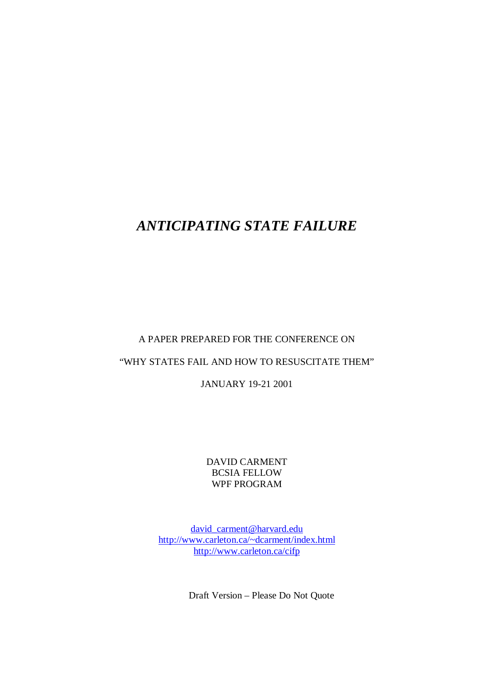# *ANTICIPATING STATE FAILURE*

## A PAPER PREPARED FOR THE CONFERENCE ON

# "WHY STATES FAIL AND HOW TO RESUSCITATE THEM"

JANUARY 19-21 2001

DAVID CARMENT BCSIA FELLOW WPF PROGRAM

david carment@harvard.edu http://www.carleton.ca/~dcarment/index.html http://www.carleton.ca/cifp

Draft Version – Please Do Not Quote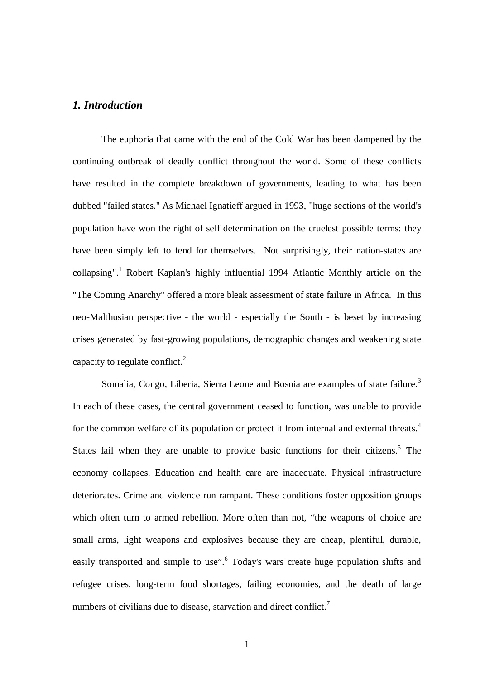## *1. Introduction*

The euphoria that came with the end of the Cold War has been dampened by the continuing outbreak of deadly conflict throughout the world. Some of these conflicts have resulted in the complete breakdown of governments, leading to what has been dubbed "failed states." As Michael Ignatieff argued in 1993, "huge sections of the world's population have won the right of self determination on the cruelest possible terms: they have been simply left to fend for themselves. Not surprisingly, their nation-states are collapsing".<sup>1</sup> Robert Kaplan's highly influential 1994 Atlantic Monthly article on the "The Coming Anarchy" offered a more bleak assessment of state failure in Africa. In this neo-Malthusian perspective - the world - especially the South - is beset by increasing crises generated by fast-growing populations, demographic changes and weakening state capacity to regulate conflict. $^2$ 

Somalia, Congo, Liberia, Sierra Leone and Bosnia are examples of state failure.<sup>3</sup> In each of these cases, the central government ceased to function, was unable to provide for the common welfare of its population or protect it from internal and external threats.<sup>4</sup> States fail when they are unable to provide basic functions for their citizens.<sup>5</sup> The economy collapses. Education and health care are inadequate. Physical infrastructure deteriorates. Crime and violence run rampant. These conditions foster opposition groups which often turn to armed rebellion. More often than not, "the weapons of choice are small arms, light weapons and explosives because they are cheap, plentiful, durable, easily transported and simple to use". Today's wars create huge population shifts and refugee crises, long-term food shortages, failing economies, and the death of large numbers of civilians due to disease, starvation and direct conflict.<sup>7</sup>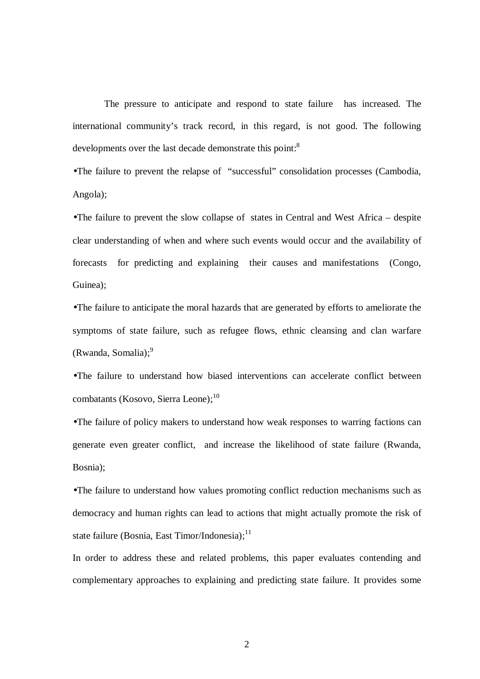The pressure to anticipate and respond to state failure has increased. The international community's track record, in this regard, is not good. The following developments over the last decade demonstrate this point:<sup>8</sup>

•The failure to prevent the relapse of "successful" consolidation processes (Cambodia, Angola);

•The failure to prevent the slow collapse of states in Central and West Africa – despite clear understanding of when and where such events would occur and the availability of forecasts for predicting and explaining their causes and manifestations (Congo, Guinea);

•The failure to anticipate the moral hazards that are generated by efforts to ameliorate the symptoms of state failure, such as refugee flows, ethnic cleansing and clan warfare (Rwanda, Somalia); 9

•The failure to understand how biased interventions can accelerate conflict between combatants (Kosovo, Sierra Leone); 10

•The failure of policy makers to understand how weak responses to warring factions can generate even greater conflict, and increase the likelihood of state failure (Rwanda, Bosnia);

•The failure to understand how values promoting conflict reduction mechanisms such as democracy and human rights can lead to actions that might actually promote the risk of state failure (Bosnia, East Timor/Indonesia);<sup>11</sup>

In order to address these and related problems, this paper evaluates contending and complementary approaches to explaining and predicting state failure. It provides some

2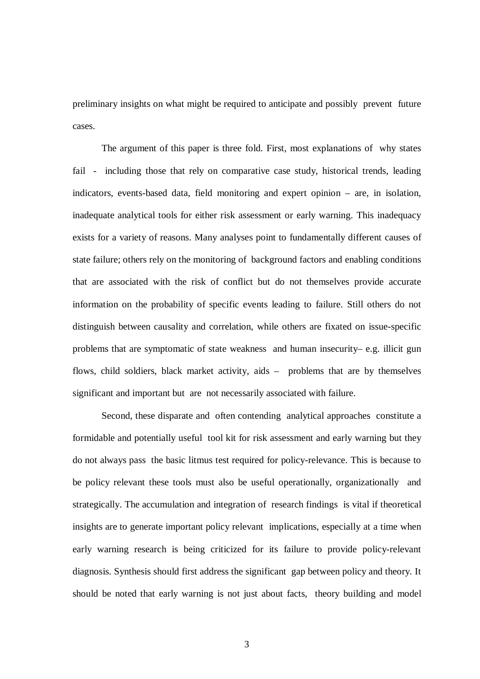preliminary insights on what might be required to anticipate and possibly prevent future cases.

The argument of this paper is three fold. First, most explanations of why states fail - including those that rely on comparative case study, historical trends, leading indicators, events-based data, field monitoring and expert opinion – are, in isolation, inadequate analytical tools for either risk assessment or early warning. This inadequacy exists for a variety of reasons. Many analyses point to fundamentally different causes of state failure; others rely on the monitoring of background factors and enabling conditions that are associated with the risk of conflict but do not themselves provide accurate information on the probability of specific events leading to failure. Still others do not distinguish between causality and correlation, while others are fixated on issue-specific problems that are symptomatic of state weakness and human insecurity– e.g. illicit gun flows, child soldiers, black market activity, aids – problems that are by themselves significant and important but are not necessarily associated with failure.

Second, these disparate and often contending analytical approaches constitute a formidable and potentially useful tool kit for risk assessment and early warning but they do not always pass the basic litmus test required for policy-relevance. This is because to be policy relevant these tools must also be useful operationally, organizationally and strategically. The accumulation and integration of research findings is vital if theoretical insights are to generate important policy relevant implications, especially at a time when early warning research is being criticized for its failure to provide policy-relevant diagnosis. Synthesis should first address the significant gap between policy and theory. It should be noted that early warning is not just about facts, theory building and model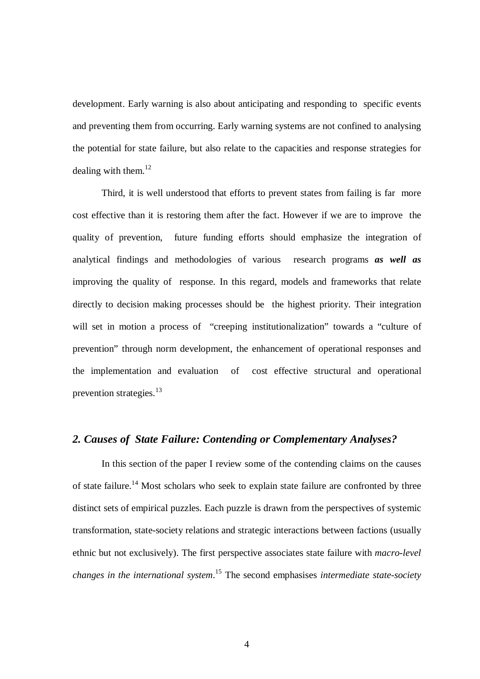development. Early warning is also about anticipating and responding to specific events and preventing them from occurring. Early warning systems are not confined to analysing the potential for state failure, but also relate to the capacities and response strategies for dealing with them.<sup>12</sup>

Third, it is well understood that efforts to prevent states from failing is far more cost effective than it is restoring them after the fact. However if we are to improve the quality of prevention, future funding efforts should emphasize the integration of analytical findings and methodologies of various research programs *as well as* improving the quality of response. In this regard, models and frameworks that relate directly to decision making processes should be the highest priority. Their integration will set in motion a process of "creeping institutionalization" towards a "culture of prevention" through norm development, the enhancement of operational responses and the implementation and evaluation of cost effective structural and operational prevention strategies.<sup>13</sup>

## *2. Causes of State Failure: Contending or Complementary Analyses?*

In this section of the paper I review some of the contending claims on the causes of state failure.<sup>14</sup> Most scholars who seek to explain state failure are confronted by three distinct sets of empirical puzzles. Each puzzle is drawn from the perspectives of systemic transformation, state-society relations and strategic interactions between factions (usually ethnic but not exclusively). The first perspective associates state failure with *macro-level changes in the international system*. <sup>15</sup> The second emphasises *intermediate state-society*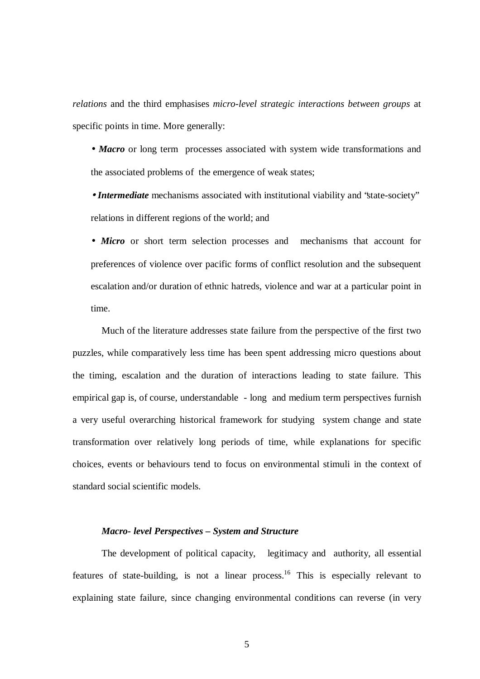*relations* and the third emphasises *micro-level strategic interactions between groups* at specific points in time. More generally:

• **Macro** or long term processes associated with system wide transformations and the associated problems of the emergence of weak states;

• *Intermediate* mechanisms associated with institutional viability and "state-society" relations in different regions of the world; and

• *Micro* or short term selection processes and mechanisms that account for preferences of violence over pacific forms of conflict resolution and the subsequent escalation and/or duration of ethnic hatreds, violence and war at a particular point in time.

Much of the literature addresses state failure from the perspective of the first two puzzles, while comparatively less time has been spent addressing micro questions about the timing, escalation and the duration of interactions leading to state failure. This empirical gap is, of course, understandable - long and medium term perspectives furnish a very useful overarching historical framework for studying system change and state transformation over relatively long periods of time, while explanations for specific choices, events or behaviours tend to focus on environmental stimuli in the context of standard social scientific models.

### *Macro- level Perspectives – System and Structure*

The development of political capacity, legitimacy and authority, all essential features of state-building, is not a linear process.<sup>16</sup> This is especially relevant to explaining state failure, since changing environmental conditions can reverse (in very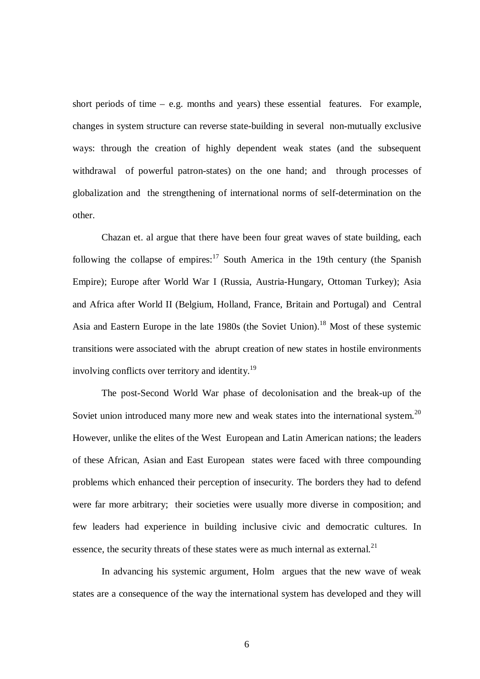short periods of time – e.g. months and years) these essential features. For example, changes in system structure can reverse state-building in several non-mutually exclusive ways: through the creation of highly dependent weak states (and the subsequent withdrawal of powerful patron-states) on the one hand; and through processes of globalization and the strengthening of international norms of self-determination on the other.

Chazan et. al argue that there have been four great waves of state building, each following the collapse of empires:<sup>17</sup> South America in the 19th century (the Spanish Empire); Europe after World War I (Russia, Austria-Hungary, Ottoman Turkey); Asia and Africa after World II (Belgium, Holland, France, Britain and Portugal) and Central Asia and Eastern Europe in the late 1980s (the Soviet Union).<sup>18</sup> Most of these systemic transitions were associated with the abrupt creation of new states in hostile environments involving conflicts over territory and identity.<sup>19</sup>

The post-Second World War phase of decolonisation and the break-up of the Soviet union introduced many more new and weak states into the international system.<sup>20</sup> However, unlike the elites of the West European and Latin American nations; the leaders of these African, Asian and East European states were faced with three compounding problems which enhanced their perception of insecurity. The borders they had to defend were far more arbitrary; their societies were usually more diverse in composition; and few leaders had experience in building inclusive civic and democratic cultures. In essence, the security threats of these states were as much internal as external.<sup>21</sup>

In advancing his systemic argument, Holm argues that the new wave of weak states are a consequence of the way the international system has developed and they will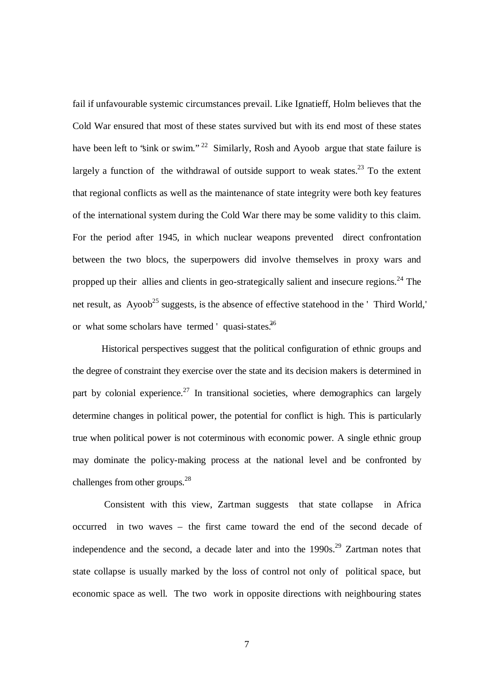fail if unfavourable systemic circumstances prevail. Like Ignatieff, Holm believes that the Cold War ensured that most of these states survived but with its end most of these states have been left to 'sink or swim."<sup>22</sup> Similarly, Rosh and Ayoob argue that state failure is largely a function of the withdrawal of outside support to weak states.<sup>23</sup> To the extent that regional conflicts as well as the maintenance of state integrity were both key features of the international system during the Cold War there may be some validity to this claim. For the period after 1945, in which nuclear weapons prevented direct confrontation between the two blocs, the superpowers did involve themselves in proxy wars and propped up their allies and clients in geo-strategically salient and insecure regions.<sup>24</sup> The net result, as Ayoob<sup>25</sup> suggests, is the absence of effective statehood in the ' Third World,' or what some scholars have termed ' quasi-states.<sup>36</sup>

Historical perspectives suggest that the political configuration of ethnic groups and the degree of constraint they exercise over the state and its decision makers is determined in part by colonial experience.<sup>27</sup> In transitional societies, where demographics can largely determine changes in political power, the potential for conflict is high. This is particularly true when political power is not coterminous with economic power. A single ethnic group may dominate the policy-making process at the national level and be confronted by challenges from other groups.<sup>28</sup>

Consistent with this view, Zartman suggests that state collapse in Africa occurred in two waves – the first came toward the end of the second decade of independence and the second, a decade later and into the 1990s.<sup>29</sup> Zartman notes that state collapse is usually marked by the loss of control not only of political space, but economic space as well. The two work in opposite directions with neighbouring states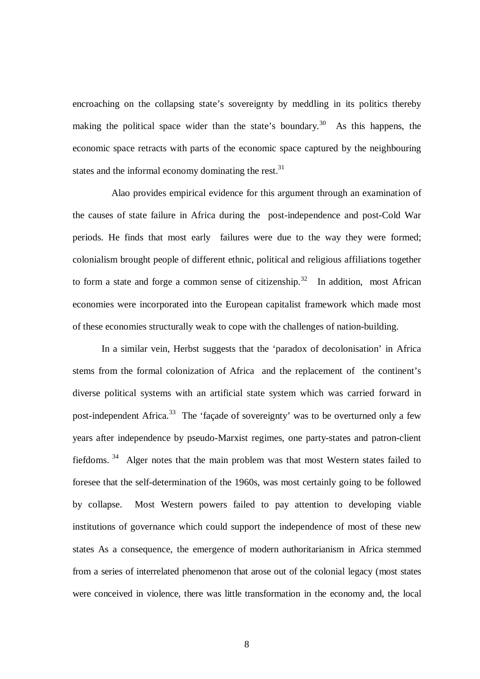encroaching on the collapsing state's sovereignty by meddling in its politics thereby making the political space wider than the state's boundary.<sup>30</sup> As this happens, the economic space retracts with parts of the economic space captured by the neighbouring states and the informal economy dominating the rest.<sup>31</sup>

 Alao provides empirical evidence for this argument through an examination of the causes of state failure in Africa during the post-independence and post-Cold War periods. He finds that most early failures were due to the way they were formed; colonialism brought people of different ethnic, political and religious affiliations together to form a state and forge a common sense of citizenship.<sup>32</sup> In addition, most African economies were incorporated into the European capitalist framework which made most of these economies structurally weak to cope with the challenges of nation-building.

In a similar vein, Herbst suggests that the 'paradox of decolonisation' in Africa stems from the formal colonization of Africa and the replacement of the continent's diverse political systems with an artificial state system which was carried forward in post-independent Africa.<sup>33</sup> The 'façade of sovereignty' was to be overturned only a few years after independence by pseudo-Marxist regimes, one party-states and patron-client fiefdoms.<sup>34</sup> Alger notes that the main problem was that most Western states failed to foresee that the self-determination of the 1960s, was most certainly going to be followed by collapse. Most Western powers failed to pay attention to developing viable institutions of governance which could support the independence of most of these new states As a consequence, the emergence of modern authoritarianism in Africa stemmed from a series of interrelated phenomenon that arose out of the colonial legacy (most states were conceived in violence, there was little transformation in the economy and, the local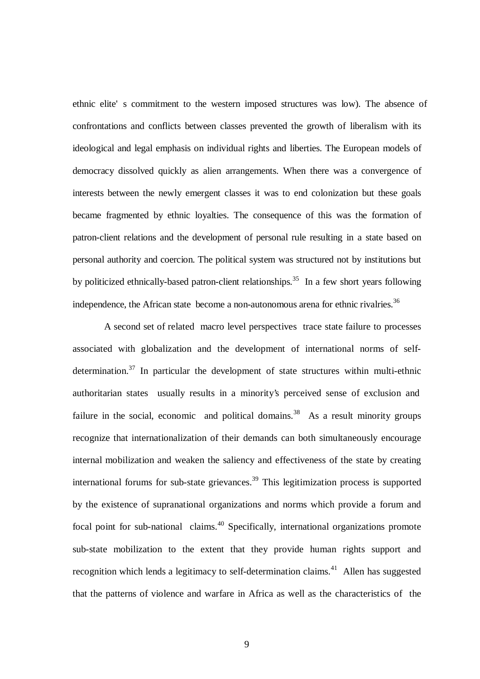ethnic elite' s commitment to the western imposed structures was low). The absence of confrontations and conflicts between classes prevented the growth of liberalism with its ideological and legal emphasis on individual rights and liberties. The European models of democracy dissolved quickly as alien arrangements. When there was a convergence of interests between the newly emergent classes it was to end colonization but these goals became fragmented by ethnic loyalties. The consequence of this was the formation of patron-client relations and the development of personal rule resulting in a state based on personal authority and coercion. The political system was structured not by institutions but by politicized ethnically-based patron-client relationships.<sup>35</sup> In a few short years following independence, the African state become a non-autonomous arena for ethnic rivalries.<sup>36</sup>

A second set of related macro level perspectives trace state failure to processes associated with globalization and the development of international norms of selfdetermination.<sup>37</sup> In particular the development of state structures within multi-ethnic authoritarian states usually results in a minority's perceived sense of exclusion and failure in the social, economic and political domains.<sup>38</sup> As a result minority groups recognize that internationalization of their demands can both simultaneously encourage internal mobilization and weaken the saliency and effectiveness of the state by creating international forums for sub-state grievances. <sup>39</sup> This legitimization process is supported by the existence of supranational organizations and norms which provide a forum and focal point for sub-national claims.<sup>40</sup> Specifically, international organizations promote sub-state mobilization to the extent that they provide human rights support and recognition which lends a legitimacy to self-determination claims.<sup>41</sup> Allen has suggested that the patterns of violence and warfare in Africa as well as the characteristics of the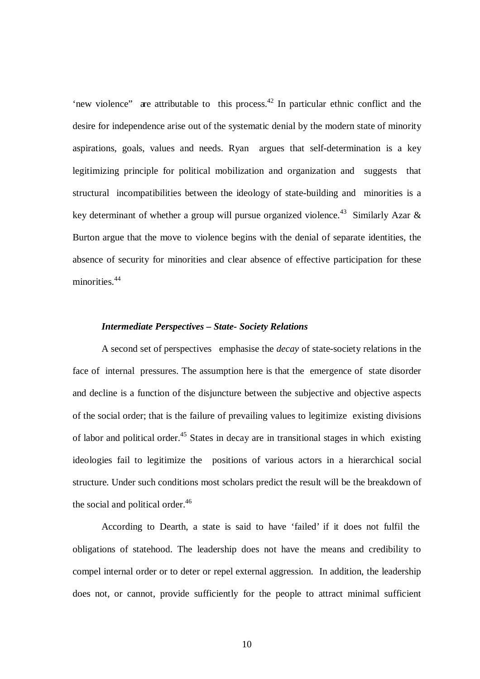'new violence'' are attributable to this process.<sup>42</sup> In particular ethnic conflict and the desire for independence arise out of the systematic denial by the modern state of minority aspirations, goals, values and needs. Ryan argues that self-determination is a key legitimizing principle for political mobilization and organization and suggests that structural incompatibilities between the ideology of state-building and minorities is a key determinant of whether a group will pursue organized violence.<sup>43</sup> Similarly Azar & Burton argue that the move to violence begins with the denial of separate identities, the absence of security for minorities and clear absence of effective participation for these minorities. 44

## *Intermediate Perspectives – State- Society Relations*

A second set of perspectives emphasise the *decay* of state-society relations in the face of internal pressures. The assumption here is that the emergence of state disorder and decline is a function of the disjuncture between the subjective and objective aspects of the social order; that is the failure of prevailing values to legitimize existing divisions of labor and political order.<sup>45</sup> States in decay are in transitional stages in which existing ideologies fail to legitimize the positions of various actors in a hierarchical social structure. Under such conditions most scholars predict the result will be the breakdown of the social and political order.<sup>46</sup>

According to Dearth, a state is said to have 'failed' if it does not fulfil the obligations of statehood. The leadership does not have the means and credibility to compel internal order or to deter or repel external aggression. In addition, the leadership does not, or cannot, provide sufficiently for the people to attract minimal sufficient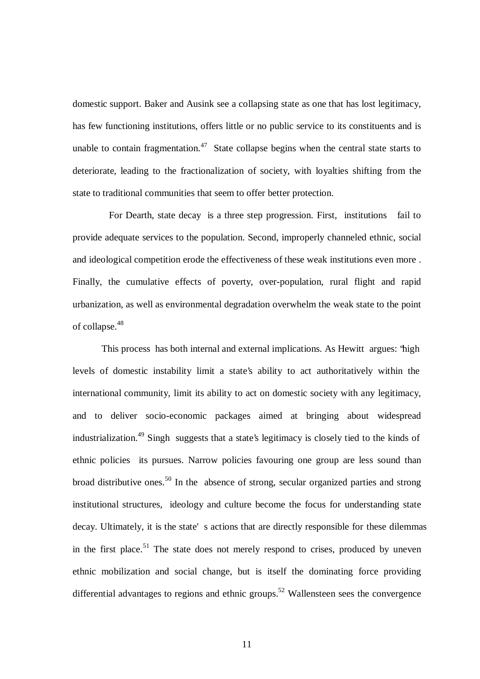domestic support. Baker and Ausink see a collapsing state as one that has lost legitimacy, has few functioning institutions, offers little or no public service to its constituents and is unable to contain fragmentation.<sup>47</sup> State collapse begins when the central state starts to deteriorate, leading to the fractionalization of society, with loyalties shifting from the state to traditional communities that seem to offer better protection.

For Dearth, state decay is a three step progression. First, institutions fail to provide adequate services to the population. Second, improperly channeled ethnic, social and ideological competition erode the effectiveness of these weak institutions even more . Finally, the cumulative effects of poverty, over-population, rural flight and rapid urbanization, as well as environmental degradation overwhelm the weak state to the point of collapse. 48

This process has both internal and external implications. As Hewitt argues: "high levels of domestic instability limit a state's ability to act authoritatively within the international community, limit its ability to act on domestic society with any legitimacy, and to deliver socio-economic packages aimed at bringing about widespread industrialization.<sup>49</sup> Singh suggests that a state's legitimacy is closely tied to the kinds of ethnic policies its pursues. Narrow policies favouring one group are less sound than broad distributive ones.<sup>50</sup> In the absence of strong, secular organized parties and strong institutional structures, ideology and culture become the focus for understanding state decay. Ultimately, it is the state' s actions that are directly responsible for these dilemmas in the first place.<sup>51</sup> The state does not merely respond to crises, produced by uneven ethnic mobilization and social change, but is itself the dominating force providing differential advantages to regions and ethnic groups.<sup>52</sup> Wallensteen sees the convergence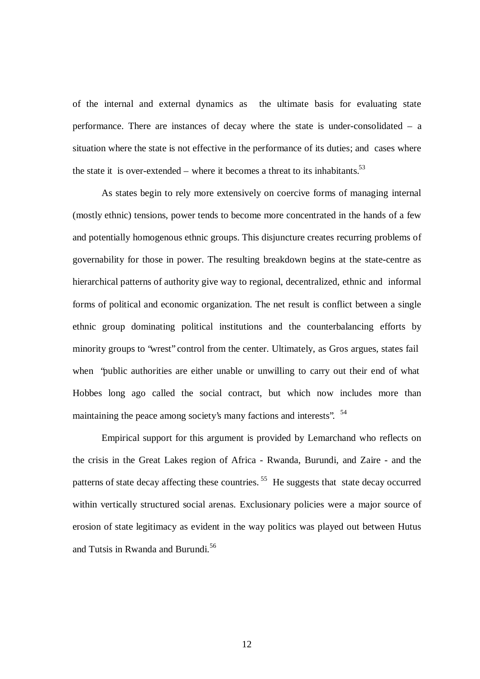of the internal and external dynamics as the ultimate basis for evaluating state performance. There are instances of decay where the state is under-consolidated – a situation where the state is not effective in the performance of its duties; and cases where the state it is over-extended – where it becomes a threat to its inhabitants.<sup>53</sup>

As states begin to rely more extensively on coercive forms of managing internal (mostly ethnic) tensions, power tends to become more concentrated in the hands of a few and potentially homogenous ethnic groups. This disjuncture creates recurring problems of governability for those in power. The resulting breakdown begins at the state-centre as hierarchical patterns of authority give way to regional, decentralized, ethnic and informal forms of political and economic organization. The net result is conflict between a single ethnic group dominating political institutions and the counterbalancing efforts by minority groups to "wrest" control from the center. Ultimately, as Gros argues, states fail when "public authorities are either unable or unwilling to carry out their end of what Hobbes long ago called the social contract, but which now includes more than maintaining the peace among society's many factions and interests". <sup>54</sup>

Empirical support for this argument is provided by Lemarchand who reflects on the crisis in the Great Lakes region of Africa - Rwanda, Burundi, and Zaire - and the patterns of state decay affecting these countries.<sup>55</sup> He suggests that state decay occurred within vertically structured social arenas. Exclusionary policies were a major source of erosion of state legitimacy as evident in the way politics was played out between Hutus and Tutsis in Rwanda and Burundi. 56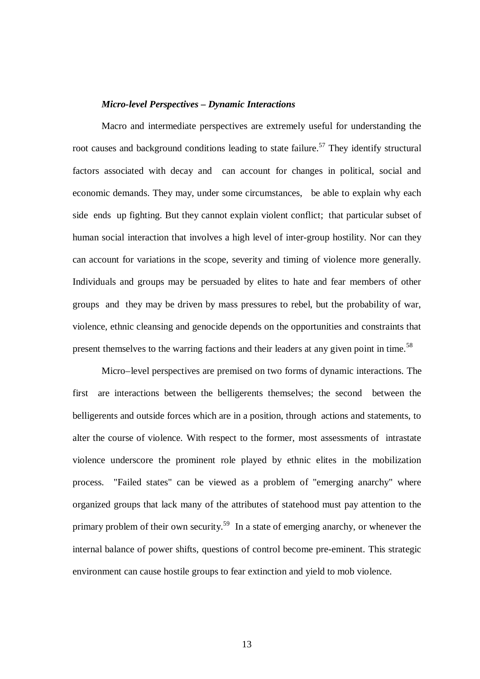#### *Micro-level Perspectives – Dynamic Interactions*

Macro and intermediate perspectives are extremely useful for understanding the root causes and background conditions leading to state failure.<sup>57</sup> They identify structural factors associated with decay and can account for changes in political, social and economic demands. They may, under some circumstances, be able to explain why each side ends up fighting. But they cannot explain violent conflict; that particular subset of human social interaction that involves a high level of inter-group hostility. Nor can they can account for variations in the scope, severity and timing of violence more generally. Individuals and groups may be persuaded by elites to hate and fear members of other groups and they may be driven by mass pressures to rebel, but the probability of war, violence, ethnic cleansing and genocide depends on the opportunities and constraints that present themselves to the warring factions and their leaders at any given point in time.<sup>58</sup>

Micro–level perspectives are premised on two forms of dynamic interactions. The first are interactions between the belligerents themselves; the second between the belligerents and outside forces which are in a position, through actions and statements, to alter the course of violence. With respect to the former, most assessments of intrastate violence underscore the prominent role played by ethnic elites in the mobilization process. "Failed states" can be viewed as a problem of "emerging anarchy" where organized groups that lack many of the attributes of statehood must pay attention to the primary problem of their own security.<sup>59</sup> In a state of emerging anarchy, or whenever the internal balance of power shifts, questions of control become pre-eminent. This strategic environment can cause hostile groups to fear extinction and yield to mob violence.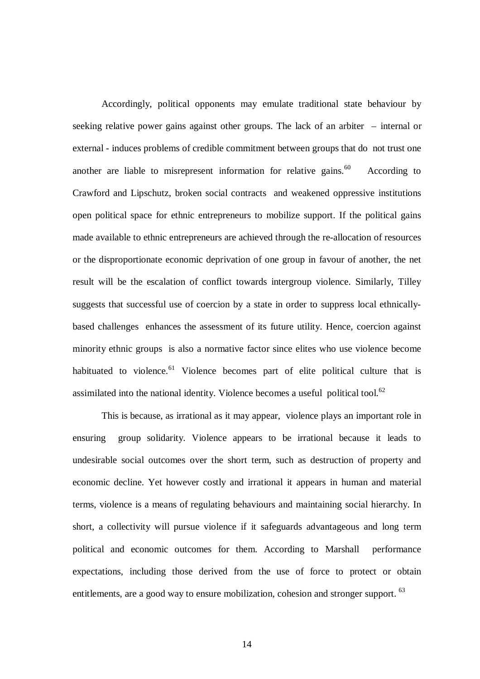Accordingly, political opponents may emulate traditional state behaviour by seeking relative power gains against other groups. The lack of an arbiter – internal or external - induces problems of credible commitment between groups that do not trust one another are liable to misrepresent information for relative gains.<sup>60</sup> According to Crawford and Lipschutz, broken social contracts and weakened oppressive institutions open political space for ethnic entrepreneurs to mobilize support. If the political gains made available to ethnic entrepreneurs are achieved through the re-allocation of resources or the disproportionate economic deprivation of one group in favour of another, the net result will be the escalation of conflict towards intergroup violence. Similarly, Tilley suggests that successful use of coercion by a state in order to suppress local ethnicallybased challenges enhances the assessment of its future utility. Hence, coercion against minority ethnic groups is also a normative factor since elites who use violence become habituated to violence.<sup>61</sup> Violence becomes part of elite political culture that is assimilated into the national identity. Violence becomes a useful political tool.<sup>62</sup>

This is because, as irrational as it may appear, violence plays an important role in ensuring group solidarity. Violence appears to be irrational because it leads to undesirable social outcomes over the short term, such as destruction of property and economic decline. Yet however costly and irrational it appears in human and material terms, violence is a means of regulating behaviours and maintaining social hierarchy. In short, a collectivity will pursue violence if it safeguards advantageous and long term political and economic outcomes for them. According to Marshall performance expectations, including those derived from the use of force to protect or obtain entitlements, are a good way to ensure mobilization, cohesion and stronger support. <sup>63</sup>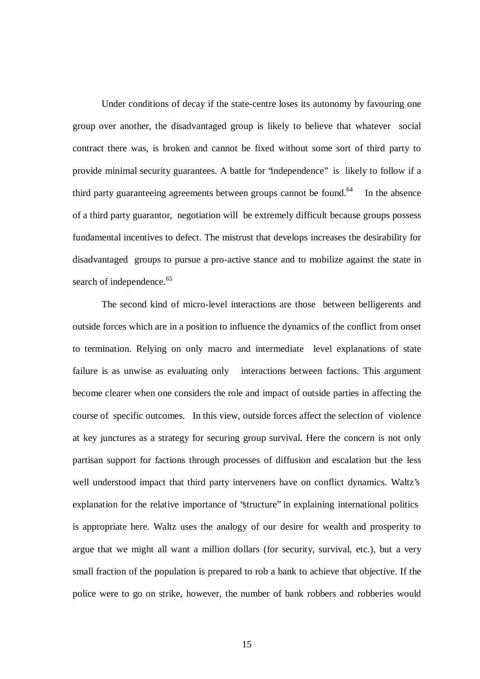Under conditions of decay if the state-centre loses its autonomy by favouring one group over another, the disadvantaged group is likely to believe that whatever social contract there was, is broken and cannot be fixed without some sort of third party to provide minimal security guarantees. A battle for "independence" is likely to follow if a third party guaranteeing agreements between groups cannot be found. In the absence of a third party guarantor, negotiation will be extremely difficult because groups possess fundamental incentives to defect. The mistrust that develops increases the desirability for disadvantaged groups to pursue a pro-active stance and to mobilize against the state in search of independence.<sup>65</sup>

The second kind of micro-level interactions are those between belligerents and outside forces which are in a position to influence the dynamics of the conflict from onset to termination. Relying on only macro and intermediate level explanations of state failure is as unwise as evaluating only interactions between factions. This argument become clearer when one considers the role and impact of outside parties in affecting the course of specific outcomes. In this view, outside forces affect the selection of violence at key junctures as a strategy for securing group survival. Here the concern is not only partisan support for factions through processes of diffusion and escalation but the less well understood impact that third party interveners have on conflict dynamics. Waltz's explanation for the relative importance of "structure" in explaining international politics is appropriate here. Waltz uses the analogy of our desire for wealth and prosperity to argue that we might all want a million dollars (for security, survival, etc.), but a very small fraction of the population is prepared to rob a bank to achieve that objective. If the police were to go on strike, however, the number of bank robbers and robberies would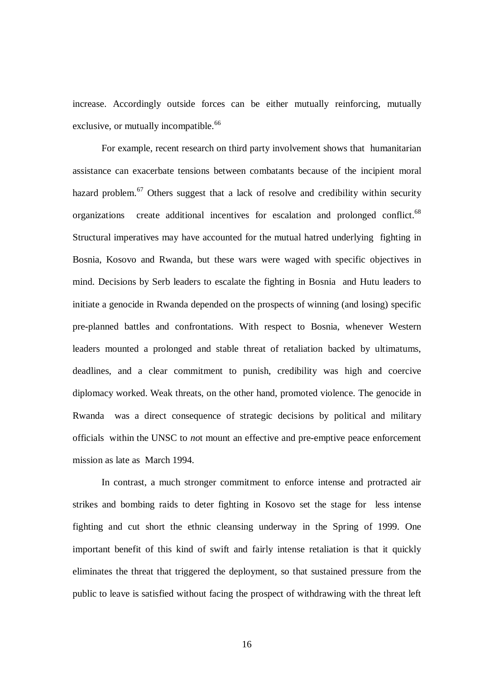increase. Accordingly outside forces can be either mutually reinforcing, mutually exclusive, or mutually incompatible.<sup>66</sup>

For example, recent research on third party involvement shows that humanitarian assistance can exacerbate tensions between combatants because of the incipient moral hazard problem.<sup>67</sup> Others suggest that a lack of resolve and credibility within security organizations create additional incentives for escalation and prolonged conflict.<sup>68</sup> Structural imperatives may have accounted for the mutual hatred underlying fighting in Bosnia, Kosovo and Rwanda, but these wars were waged with specific objectives in mind. Decisions by Serb leaders to escalate the fighting in Bosnia and Hutu leaders to initiate a genocide in Rwanda depended on the prospects of winning (and losing) specific pre-planned battles and confrontations. With respect to Bosnia, whenever Western leaders mounted a prolonged and stable threat of retaliation backed by ultimatums, deadlines, and a clear commitment to punish, credibility was high and coercive diplomacy worked. Weak threats, on the other hand, promoted violence. The genocide in Rwanda was a direct consequence of strategic decisions by political and military officials within the UNSC to *no*t mount an effective and pre-emptive peace enforcement mission as late as March 1994.

In contrast, a much stronger commitment to enforce intense and protracted air strikes and bombing raids to deter fighting in Kosovo set the stage for less intense fighting and cut short the ethnic cleansing underway in the Spring of 1999. One important benefit of this kind of swift and fairly intense retaliation is that it quickly eliminates the threat that triggered the deployment, so that sustained pressure from the public to leave is satisfied without facing the prospect of withdrawing with the threat left

16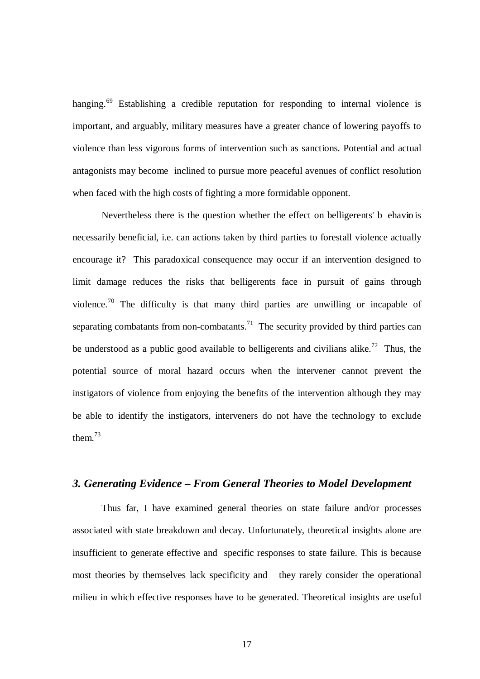hanging.<sup>69</sup> Establishing a credible reputation for responding to internal violence is important, and arguably, military measures have a greater chance of lowering payoffs to violence than less vigorous forms of intervention such as sanctions. Potential and actual antagonists may become inclined to pursue more peaceful avenues of conflict resolution when faced with the high costs of fighting a more formidable opponent.

Nevertheless there is the question whether the effect on belligerents' b ehavio is necessarily beneficial, i.e. can actions taken by third parties to forestall violence actually encourage it? This paradoxical consequence may occur if an intervention designed to limit damage reduces the risks that belligerents face in pursuit of gains through violence.<sup>70</sup> The difficulty is that many third parties are unwilling or incapable of separating combatants from non-combatants.<sup>71</sup> The security provided by third parties can be understood as a public good available to belligerents and civilians alike.<sup>72</sup> Thus, the potential source of moral hazard occurs when the intervener cannot prevent the instigators of violence from enjoying the benefits of the intervention although they may be able to identify the instigators, interveners do not have the technology to exclude them. 73

## *3. Generating Evidence – From General Theories to Model Development*

Thus far, I have examined general theories on state failure and/or processes associated with state breakdown and decay. Unfortunately, theoretical insights alone are insufficient to generate effective and specific responses to state failure. This is because most theories by themselves lack specificity and they rarely consider the operational milieu in which effective responses have to be generated. Theoretical insights are useful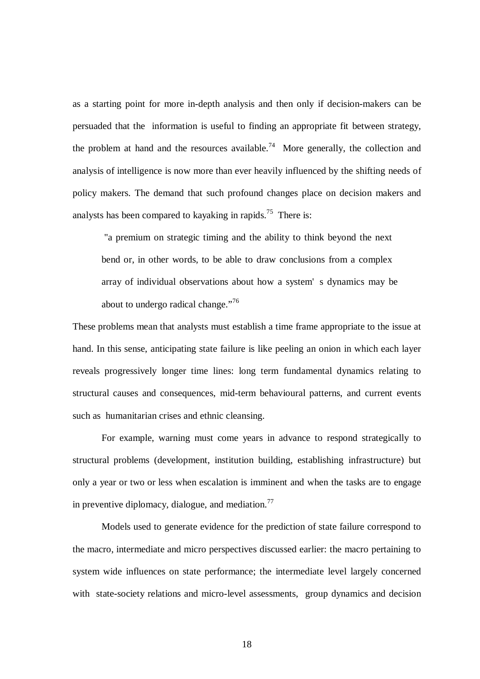as a starting point for more in-depth analysis and then only if decision-makers can be persuaded that the information is useful to finding an appropriate fit between strategy, the problem at hand and the resources available.<sup>74</sup> More generally, the collection and analysis of intelligence is now more than ever heavily influenced by the shifting needs of policy makers. The demand that such profound changes place on decision makers and analysts has been compared to kayaking in rapids.<sup>75</sup> There is:

"a premium on strategic timing and the ability to think beyond the next bend or, in other words, to be able to draw conclusions from a complex array of individual observations about how a system' s dynamics may be about to undergo radical change."<sup>76</sup>

These problems mean that analysts must establish a time frame appropriate to the issue at hand. In this sense, anticipating state failure is like peeling an onion in which each layer reveals progressively longer time lines: long term fundamental dynamics relating to structural causes and consequences, mid-term behavioural patterns, and current events such as humanitarian crises and ethnic cleansing.

For example, warning must come years in advance to respond strategically to structural problems (development, institution building, establishing infrastructure) but only a year or two or less when escalation is imminent and when the tasks are to engage in preventive diplomacy, dialogue, and mediation.<sup>77</sup>

Models used to generate evidence for the prediction of state failure correspond to the macro, intermediate and micro perspectives discussed earlier: the macro pertaining to system wide influences on state performance; the intermediate level largely concerned with state-society relations and micro-level assessments, group dynamics and decision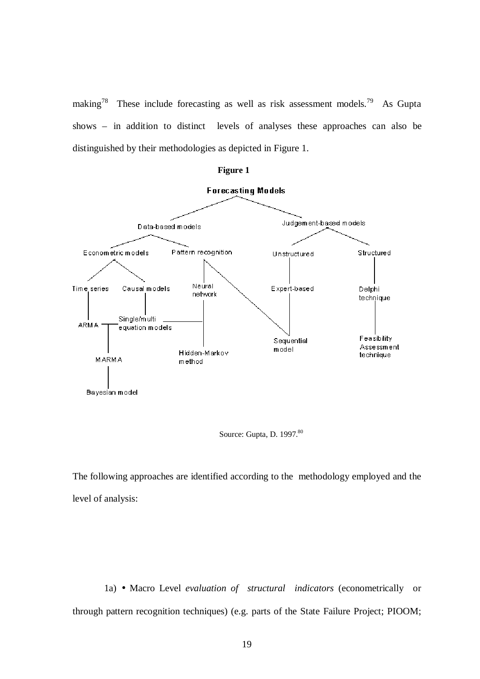making<sup>78</sup> These include forecasting as well as risk assessment models.<sup>79</sup> As Gupta shows – in addition to distinct levels of analyses these approaches can also be distinguished by their methodologies as depicted in Figure 1.







The following approaches are identified according to the methodology employed and the level of analysis:

 1a) • Macro Level *evaluation of structural indicators* (econometrically or through pattern recognition techniques) (e.g. parts of the State Failure Project; PIOOM;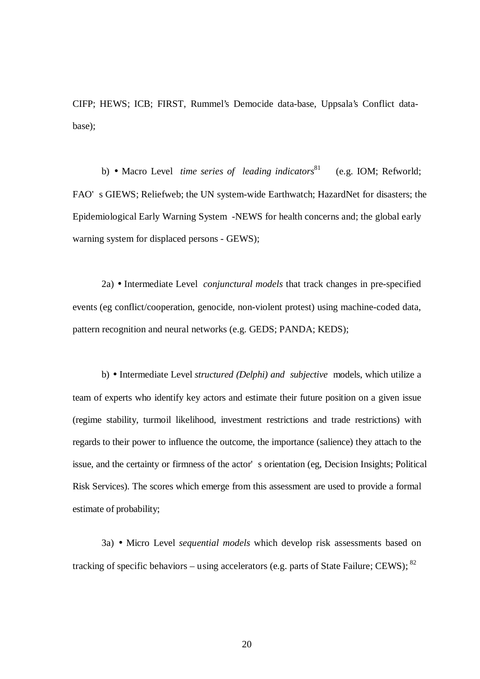CIFP; HEWS; ICB; FIRST, Rummel's Democide data-base, Uppsala's Conflict database);

b) • Macro Level *time series of leading indicators* (e.g. IOM; Refworld; FAO' s GIEWS; Reliefweb; the UN system-wide Earthwatch; HazardNet for disasters; the Epidemiological Early Warning System -NEWS for health concerns and; the global early warning system for displaced persons - GEWS);

2a) • Intermediate Level *conjunctural models* that track changes in pre-specified events (eg conflict/cooperation, genocide, non-violent protest) using machine-coded data, pattern recognition and neural networks (e.g. GEDS; PANDA; KEDS);

b) • Intermediate Level *structured (Delphi) and subjective* models, which utilize a team of experts who identify key actors and estimate their future position on a given issue (regime stability, turmoil likelihood, investment restrictions and trade restrictions) with regards to their power to influence the outcome, the importance (salience) they attach to the issue, and the certainty or firmness of the actor' s orientation (eg, Decision Insights; Political Risk Services). The scores which emerge from this assessment are used to provide a formal estimate of probability;

3a) • Micro Level *sequential models* which develop risk assessments based on tracking of specific behaviors – using accelerators (e.g. parts of State Failure; CEWS); <sup>82</sup>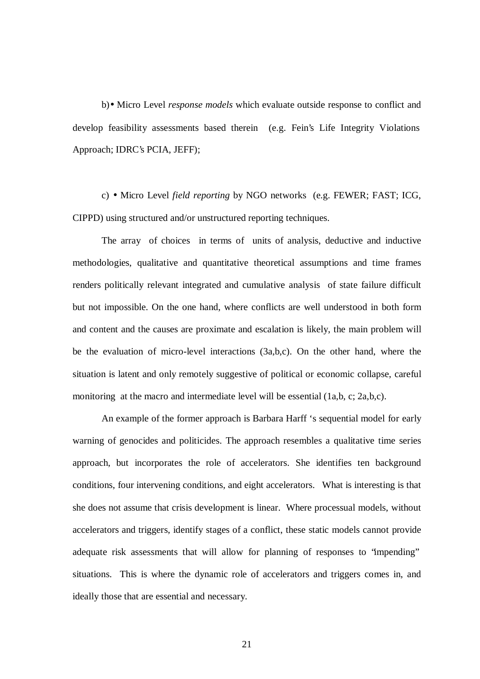b)• Micro Level *response models* which evaluate outside response to conflict and develop feasibility assessments based therein (e.g. Fein's Life Integrity Violations Approach; IDRC's PCIA, JEFF);

c) • Micro Level *field reporting* by NGO networks (e.g. FEWER; FAST; ICG, CIPPD) using structured and/or unstructured reporting techniques.

The array of choices in terms of units of analysis, deductive and inductive methodologies, qualitative and quantitative theoretical assumptions and time frames renders politically relevant integrated and cumulative analysis of state failure difficult but not impossible. On the one hand, where conflicts are well understood in both form and content and the causes are proximate and escalation is likely, the main problem will be the evaluation of micro-level interactions (3a,b,c). On the other hand, where the situation is latent and only remotely suggestive of political or economic collapse, careful monitoring at the macro and intermediate level will be essential  $(1a,b, c; 2a,b,c)$ .

An example of the former approach is Barbara Harff 's sequential model for early warning of genocides and politicides. The approach resembles a qualitative time series approach, but incorporates the role of accelerators. She identifies ten background conditions, four intervening conditions, and eight accelerators. What is interesting is that she does not assume that crisis development is linear. Where processual models, without accelerators and triggers, identify stages of a conflict, these static models cannot provide adequate risk assessments that will allow for planning of responses to "impending" situations. This is where the dynamic role of accelerators and triggers comes in, and ideally those that are essential and necessary.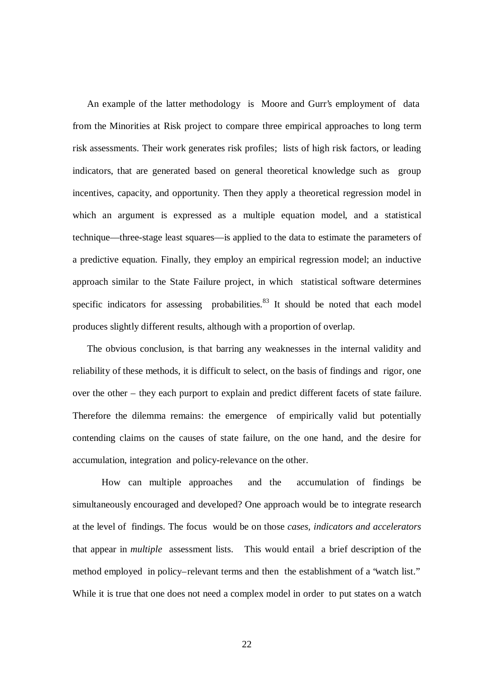An example of the latter methodology is Moore and Gurr's employment of data from the Minorities at Risk project to compare three empirical approaches to long term risk assessments. Their work generates risk profiles; lists of high risk factors, or leading indicators, that are generated based on general theoretical knowledge such as group incentives, capacity, and opportunity. Then they apply a theoretical regression model in which an argument is expressed as a multiple equation model, and a statistical technique—three-stage least squares—is applied to the data to estimate the parameters of a predictive equation. Finally, they employ an empirical regression model; an inductive approach similar to the State Failure project, in which statistical software determines specific indicators for assessing probabilities. <sup>83</sup> It should be noted that each model produces slightly different results, although with a proportion of overlap.

The obvious conclusion, is that barring any weaknesses in the internal validity and reliability of these methods, it is difficult to select, on the basis of findings and rigor, one over the other – they each purport to explain and predict different facets of state failure. Therefore the dilemma remains: the emergence of empirically valid but potentially contending claims on the causes of state failure, on the one hand, and the desire for accumulation, integration and policy-relevance on the other.

How can multiple approaches and the accumulation of findings be simultaneously encouraged and developed? One approach would be to integrate research at the level of findings. The focus would be on those *cases, indicators and accelerators* that appear in *multiple* assessment lists. This would entail a brief description of the method employed in policy–relevant terms and then the establishment of a "watch list." While it is true that one does not need a complex model in order to put states on a watch

22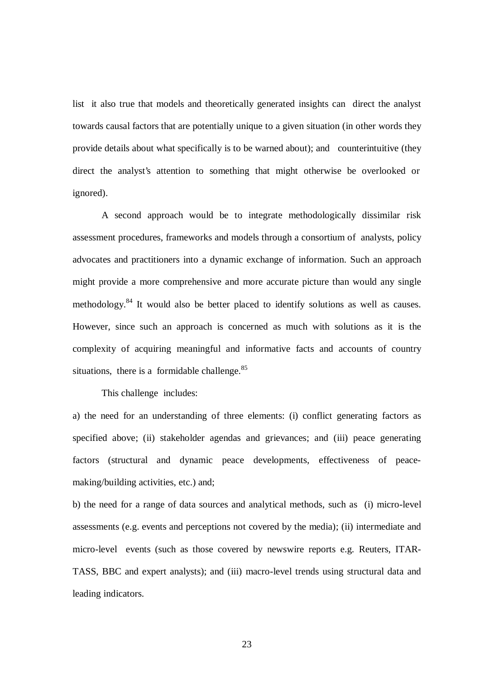list it also true that models and theoretically generated insights can direct the analyst towards causal factors that are potentially unique to a given situation (in other words they provide details about what specifically is to be warned about); and counterintuitive (they direct the analyst's attention to something that might otherwise be overlooked or ignored).

A second approach would be to integrate methodologically dissimilar risk assessment procedures, frameworks and models through a consortium of analysts, policy advocates and practitioners into a dynamic exchange of information. Such an approach might provide a more comprehensive and more accurate picture than would any single methodology.<sup>84</sup> It would also be better placed to identify solutions as well as causes. However, since such an approach is concerned as much with solutions as it is the complexity of acquiring meaningful and informative facts and accounts of country situations, there is a formidable challenge.<sup>85</sup>

This challenge includes:

a) the need for an understanding of three elements: (i) conflict generating factors as specified above; (ii) stakeholder agendas and grievances; and (iii) peace generating factors (structural and dynamic peace developments, effectiveness of peacemaking/building activities, etc.) and;

b) the need for a range of data sources and analytical methods, such as (i) micro-level assessments (e.g. events and perceptions not covered by the media); (ii) intermediate and micro-level events (such as those covered by newswire reports e.g. Reuters, ITAR-TASS, BBC and expert analysts); and (iii) macro-level trends using structural data and leading indicators.

23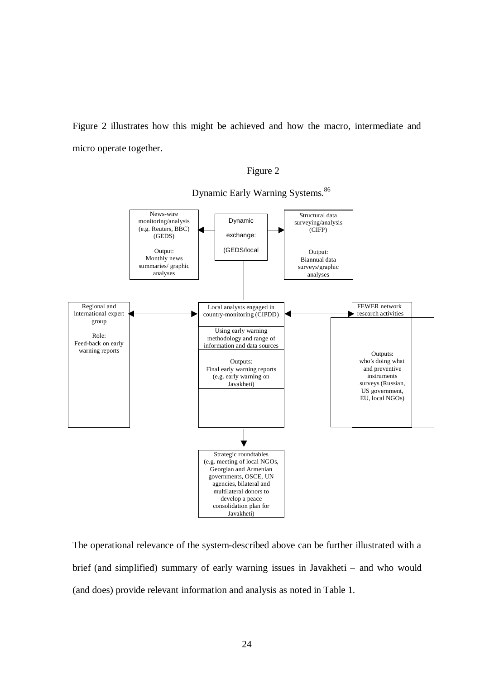Figure 2 illustrates how this might be achieved and how the macro, intermediate and micro operate together.





Dynamic Early Warning Systems.<sup>86</sup>

The operational relevance of the system-described above can be further illustrated with a brief (and simplified) summary of early warning issues in Javakheti – and who would (and does) provide relevant information and analysis as noted in Table 1.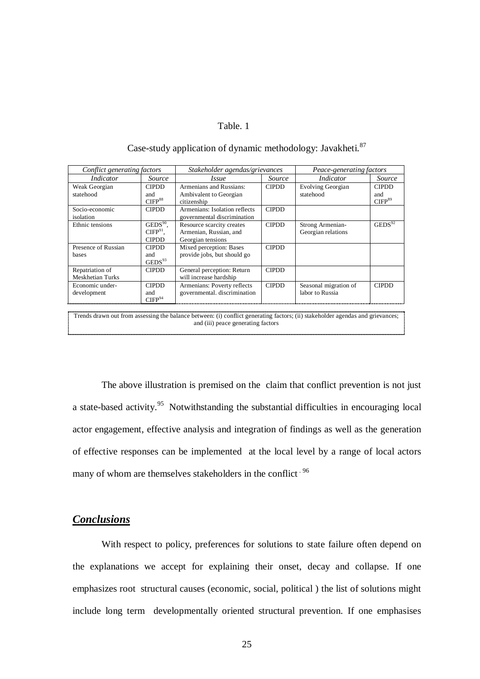#### Table. 1

| Conflict generating factors         |                                           | Stakeholder agendas/grievances                                           |               | Peace-generating factors                 |                                           |
|-------------------------------------|-------------------------------------------|--------------------------------------------------------------------------|---------------|------------------------------------------|-------------------------------------------|
| Indicator                           | <i>Source</i>                             | <i>Issue</i>                                                             | <i>Source</i> | <i>Indicator</i>                         | Source                                    |
| Weak Georgian<br>statehood          | <b>CIPDD</b><br>and<br>CIFP <sup>88</sup> | Armenians and Russians:<br>Ambivalent to Georgian<br>citizenship         | <b>CIPDD</b>  | Evolving Georgian<br>statehood           | <b>CIPDD</b><br>and<br>CIFP <sup>89</sup> |
| Socio-economic<br>isolation         | <b>CIPDD</b>                              | Armenians: Isolation reflects<br>governmental discrimination             | <b>CIPDD</b>  |                                          |                                           |
| Ethnic tensions                     | $GEDS90$ ,<br>$CIFP91$ .<br><b>CIPDD</b>  | Resource scarcity creates<br>Armenian, Russian, and<br>Georgian tensions | <b>CIPDD</b>  | Strong Armenian-<br>Georgian relations   | $\text{GEDS}^{92}$                        |
| Presence of Russian<br>bases        | <b>CIPDD</b><br>and<br>$\text{GEDS}^{93}$ | Mixed perception: Bases<br>provide jobs, but should go                   | <b>CIPDD</b>  |                                          |                                           |
| Repatriation of<br>Meskhetian Turks | <b>CIPDD</b>                              | General perception: Return<br>will increase hardship                     | <b>CIPDD</b>  |                                          |                                           |
| Economic under-<br>development      | <b>CIPDD</b><br>and<br>CIFP <sup>94</sup> | Armenians: Poverty reflects<br>governmental. discrimination              | <b>CIPDD</b>  | Seasonal migration of<br>labor to Russia | <b>CIPDD</b>                              |

# Case-study application of dynamic methodology: Javakheti.<sup>87</sup>

Trends drawn out from assessing the balance between: (i) conflict generating factors; (ii) stakeholder agendas and grievances; and (iii) peace generating factors

The above illustration is premised on the claim that conflict prevention is not just a state-based activity.<sup>95</sup> Notwithstanding the substantial difficulties in encouraging local actor engagement, effective analysis and integration of findings as well as the generation of effective responses can be implemented at the local level by a range of local actors many of whom are themselves stakeholders in the conflict <sup>96</sup>

## *Conclusions*

With respect to policy, preferences for solutions to state failure often depend on the explanations we accept for explaining their onset, decay and collapse. If one emphasizes root structural causes (economic, social, political ) the list of solutions might include long term developmentally oriented structural prevention. If one emphasises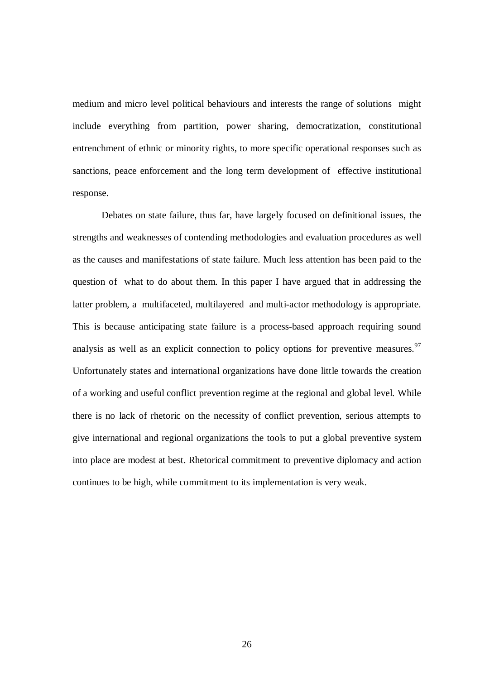medium and micro level political behaviours and interests the range of solutions might include everything from partition, power sharing, democratization, constitutional entrenchment of ethnic or minority rights, to more specific operational responses such as sanctions, peace enforcement and the long term development of effective institutional response.

Debates on state failure, thus far, have largely focused on definitional issues, the strengths and weaknesses of contending methodologies and evaluation procedures as well as the causes and manifestations of state failure. Much less attention has been paid to the question of what to do about them. In this paper I have argued that in addressing the latter problem, a multifaceted, multilayered and multi-actor methodology is appropriate. This is because anticipating state failure is a process-based approach requiring sound analysis as well as an explicit connection to policy options for preventive measures.<sup>97</sup> Unfortunately states and international organizations have done little towards the creation of a working and useful conflict prevention regime at the regional and global level. While there is no lack of rhetoric on the necessity of conflict prevention, serious attempts to give international and regional organizations the tools to put a global preventive system into place are modest at best. Rhetorical commitment to preventive diplomacy and action continues to be high, while commitment to its implementation is very weak.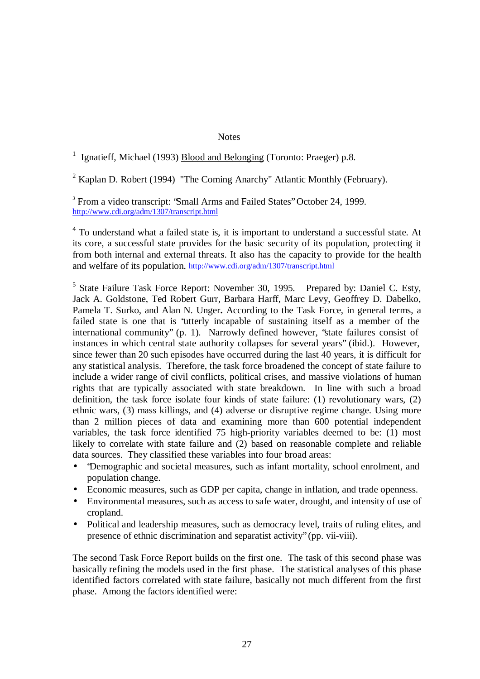**Notes** 

<sup>1</sup> Ignatieff, Michael (1993) **Blood and Belonging (Toronto: Praeger)** p.8.

 $\overline{a}$ 

<sup>2</sup> Kaplan D. Robert (1994) "The Coming Anarchy" Atlantic Monthly (February).

<sup>3</sup> From a video transcript: 'Small Arms and Failed States'' October 24, 1999. http://www.cdi.org/adm/1307/transcript.html

<sup>4</sup> To understand what a failed state is, it is important to understand a successful state. At its core, a successful state provides for the basic security of its population, protecting it from both internal and external threats. It also has the capacity to provide for the health and welfare of its population. http://www.cdi.org/adm/1307/transcript.html

<sup>5</sup> State Failure Task Force Report: November 30, 1995. Prepared by: Daniel C. Esty, Jack A. Goldstone, Ted Robert Gurr, Barbara Harff, Marc Levy, Geoffrey D. Dabelko, Pamela T. Surko, and Alan N. Unger**.** According to the Task Force, in general terms, a failed state is one that is "utterly incapable of sustaining itself as a member of the international community" (p. 1). Narrowly defined however, "state failures consist of instances in which central state authority collapses for several years" (ibid.). However, since fewer than 20 such episodes have occurred during the last 40 years, it is difficult for any statistical analysis. Therefore, the task force broadened the concept of state failure to include a wider range of civil conflicts, political crises, and massive violations of human rights that are typically associated with state breakdown. In line with such a broad definition, the task force isolate four kinds of state failure: (1) revolutionary wars, (2) ethnic wars, (3) mass killings, and (4) adverse or disruptive regime change. Using more than 2 million pieces of data and examining more than 600 potential independent variables, the task force identified 75 high-priority variables deemed to be: (1) most likely to correlate with state failure and (2) based on reasonable complete and reliable data sources. They classified these variables into four broad areas:

- "Demographic and societal measures, such as infant mortality, school enrolment, and population change.
- Economic measures, such as GDP per capita, change in inflation, and trade openness.
- Environmental measures, such as access to safe water, drought, and intensity of use of cropland.
- Political and leadership measures, such as democracy level, traits of ruling elites, and presence of ethnic discrimination and separatist activity" (pp. vii-viii).

The second Task Force Report builds on the first one. The task of this second phase was basically refining the models used in the first phase. The statistical analyses of this phase identified factors correlated with state failure, basically not much different from the first phase. Among the factors identified were: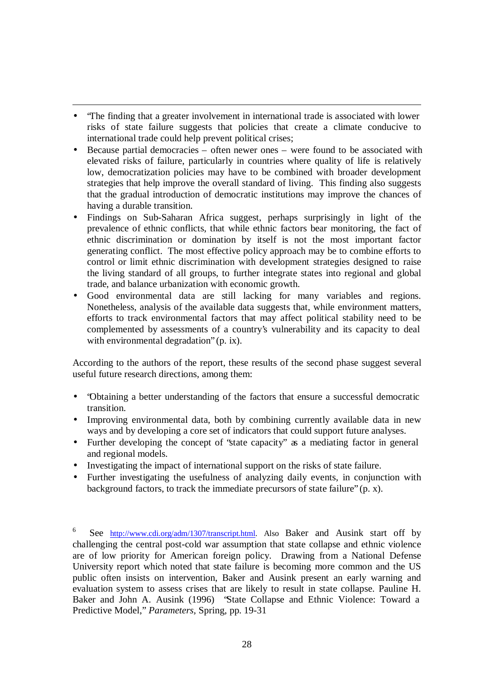• The finding that a greater involvement in international trade is associated with lower risks of state failure suggests that policies that create a climate conducive to international trade could help prevent political crises;

 $\overline{a}$ 

- Because partial democracies often newer ones were found to be associated with elevated risks of failure, particularly in countries where quality of life is relatively low, democratization policies may have to be combined with broader development strategies that help improve the overall standard of living. This finding also suggests that the gradual introduction of democratic institutions may improve the chances of having a durable transition.
- Findings on Sub-Saharan Africa suggest, perhaps surprisingly in light of the prevalence of ethnic conflicts, that while ethnic factors bear monitoring, the fact of ethnic discrimination or domination by itself is not the most important factor generating conflict. The most effective policy approach may be to combine efforts to control or limit ethnic discrimination with development strategies designed to raise the living standard of all groups, to further integrate states into regional and global trade, and balance urbanization with economic growth.
- Good environmental data are still lacking for many variables and regions. Nonetheless, analysis of the available data suggests that, while environment matters, efforts to track environmental factors that may affect political stability need to be complemented by assessments of a country's vulnerability and its capacity to deal with environmental degradation" (p. ix).

According to the authors of the report, these results of the second phase suggest several useful future research directions, among them:

- "Obtaining a better understanding of the factors that ensure a successful democratic transition.
- Improving environmental data, both by combining currently available data in new ways and by developing a core set of indicators that could support future analyses.
- Further developing the concept of 'state capacity' as a mediating factor in general and regional models.
- Investigating the impact of international support on the risks of state failure.
- Further investigating the usefulness of analyzing daily events, in conjunction with background factors, to track the immediate precursors of state failure" (p. x).

6 See http://www.cdi.org/adm/1307/transcript.html. Also Baker and Ausink start off by challenging the central post-cold war assumption that state collapse and ethnic violence are of low priority for American foreign policy. Drawing from a National Defense University report which noted that state failure is becoming more common and the US public often insists on intervention, Baker and Ausink present an early warning and evaluation system to assess crises that are likely to result in state collapse. Pauline H. Baker and John A. Ausink (1996) "State Collapse and Ethnic Violence: Toward a Predictive Model," *Parameters,* Spring, pp. 19-31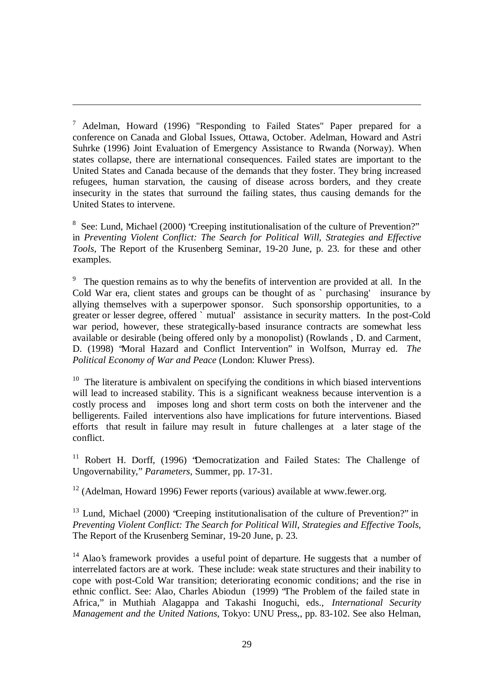<sup>7</sup> Adelman, Howard (1996) "Responding to Failed States" Paper prepared for a conference on Canada and Global Issues, Ottawa, October. Adelman, Howard and Astri Suhrke (1996) Joint Evaluation of Emergency Assistance to Rwanda (Norway). When states collapse, there are international consequences. Failed states are important to the United States and Canada because of the demands that they foster. They bring increased refugees, human starvation, the causing of disease across borders, and they create insecurity in the states that surround the failing states, thus causing demands for the United States to intervene.

 $\overline{a}$ 

<sup>8</sup> See: Lund, Michael (2000) 'Creeping institutionalisation of the culture of Prevention?" in *Preventing Violent Conflict: The Search for Political Will, Strategies and Effective Tools,* The Report of the Krusenberg Seminar, 19-20 June, p. 23. for these and other examples.

<sup>9</sup> The question remains as to why the benefits of intervention are provided at all. In the Cold War era, client states and groups can be thought of as ` purchasing' insurance by allying themselves with a superpower sponsor. Such sponsorship opportunities, to a greater or lesser degree, offered ` mutual' assistance in security matters. In the post-Cold war period, however, these strategically-based insurance contracts are somewhat less available or desirable (being offered only by a monopolist) (Rowlands , D. and Carment, D. (1998) "Moral Hazard and Conflict Intervention" in Wolfson, Murray ed. *The Political Economy of War and Peace* (London: Kluwer Press).

 $10$  The literature is ambivalent on specifying the conditions in which biased interventions will lead to increased stability. This is a significant weakness because intervention is a costly process and imposes long and short term costs on both the intervener and the belligerents. Failed interventions also have implications for future interventions. Biased efforts that result in failure may result in future challenges at a later stage of the conflict.

<sup>11</sup> Robert H. Dorff, (1996) 'Democratization and Failed States: The Challenge of Ungovernability," *Parameters,* Summer, pp. 17-31.

<sup>12</sup> (Adelman, Howard 1996) Fewer reports (various) available at www.fewer.org.

 $13$  Lund, Michael (2000) 'Creeping institutionalisation of the culture of Prevention?" in *Preventing Violent Conflict: The Search for Political Will, Strategies and Effective Tools,* The Report of the Krusenberg Seminar, 19-20 June, p. 23.

 $14$  Alao's framework provides a useful point of departure. He suggests that a number of interrelated factors are at work. These include: weak state structures and their inability to cope with post-Cold War transition; deteriorating economic conditions; and the rise in ethnic conflict. See: Alao, Charles Abiodun (1999) "The Problem of the failed state in Africa," in Muthiah Alagappa and Takashi Inoguchi, eds., *International Security Management and the United Nations,* Tokyo: UNU Press,, pp. 83-102. See also Helman,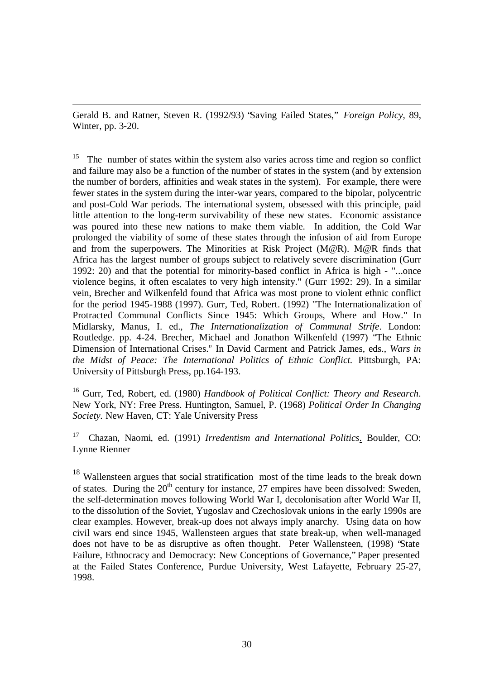Gerald B. and Ratner, Steven R. (1992/93) "Saving Failed States," *Foreign Policy,* 89, Winter, pp. 3-20.

 $\overline{a}$ 

<sup>15</sup> The number of states within the system also varies across time and region so conflict and failure may also be a function of the number of states in the system (and by extension the number of borders, affinities and weak states in the system). For example, there were fewer states in the system during the inter-war years, compared to the bipolar, polycentric and post-Cold War periods. The international system, obsessed with this principle, paid little attention to the long-term survivability of these new states. Economic assistance was poured into these new nations to make them viable. In addition, the Cold War prolonged the viability of some of these states through the infusion of aid from Europe and from the superpowers. The Minorities at Risk Project (M@R). M@R finds that Africa has the largest number of groups subject to relatively severe discrimination (Gurr 1992: 20) and that the potential for minority-based conflict in Africa is high - "...once violence begins, it often escalates to very high intensity." (Gurr 1992: 29). In a similar vein, Brecher and Wilkenfeld found that Africa was most prone to violent ethnic conflict for the period 1945-1988 (1997). Gurr, Ted, Robert. (1992) "The Internationalization of Protracted Communal Conflicts Since 1945: Which Groups, Where and How." In Midlarsky, Manus, I. ed., *The Internationalization of Communal Strife*. London: Routledge. pp. 4-24. Brecher, Michael and Jonathon Wilkenfeld (1997) The Ethnic Dimension of International Crises. In David Carment and Patrick James, eds., *Wars in the Midst of Peace: The International Politics of Ethnic Conflict.* Pittsburgh, PA: University of Pittsburgh Press, pp.164-193.

<sup>16</sup> Gurr, Ted, Robert, ed. (1980) *Handbook of Political Conflict: Theory and Research*. New York, NY: Free Press. Huntington, Samuel, P. (1968) *Political Order In Changing Society.* New Haven, CT: Yale University Press

<sup>17</sup> Chazan, Naomi, ed. (1991) *Irredentism and International Politics*. Boulder, CO: Lynne Rienner

<sup>18</sup> Wallensteen argues that social stratification most of the time leads to the break down of states. During the  $20<sup>th</sup>$  century for instance, 27 empires have been dissolved: Sweden, the self-determination moves following World War I, decolonisation after World War II, to the dissolution of the Soviet, Yugoslav and Czechoslovak unions in the early 1990s are clear examples. However, break-up does not always imply anarchy. Using data on how civil wars end since 1945, Wallensteen argues that state break-up, when well-managed does not have to be as disruptive as often thought. Peter Wallensteen, (1998) "State Failure, Ethnocracy and Democracy: New Conceptions of Governance," Paper presented at the Failed States Conference, Purdue University, West Lafayette, February 25-27, 1998.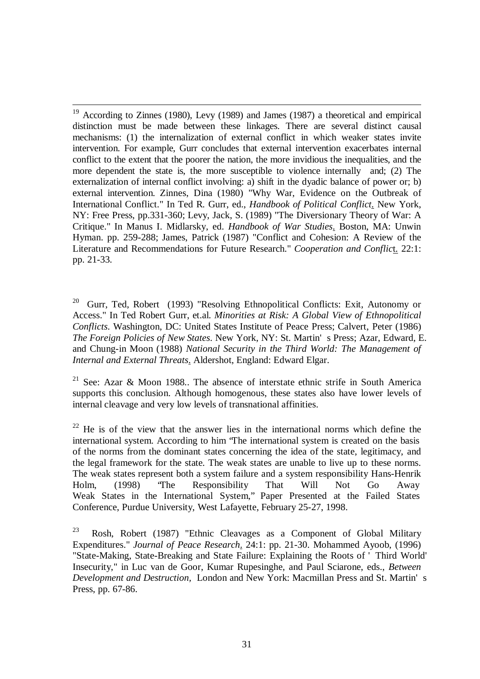$\overline{a}$ <sup>19</sup> According to Zinnes (1980), Levy (1989) and James (1987) a theoretical and empirical distinction must be made between these linkages. There are several distinct causal mechanisms: (1) the internalization of external conflict in which weaker states invite intervention. For example, Gurr concludes that external intervention exacerbates internal conflict to the extent that the poorer the nation, the more invidious the inequalities, and the more dependent the state is, the more susceptible to violence internally and; (2) The externalization of internal conflict involving: a) shift in the dyadic balance of power or; b) external intervention. Zinnes, Dina (1980) "Why War, Evidence on the Outbreak of International Conflict." In Ted R. Gurr, ed., *Handbook of Political Conflict*. New York, NY: Free Press, pp.331-360; Levy, Jack, S. (1989) "The Diversionary Theory of War: A Critique." In Manus I. Midlarsky, ed. *Handbook of War Studies*. Boston, MA: Unwin Hyman. pp. 259-288; James, Patrick (1987) "Conflict and Cohesion: A Review of the Literature and Recommendations for Future Research." *Cooperation and Conflic*t. 22:1: pp. 21-33.

<sup>20</sup> Gurr, Ted, Robert (1993) "Resolving Ethnopolitical Conflicts: Exit, Autonomy or Access." In Ted Robert Gurr, et.al. *Minorities at Risk: A Global View of Ethnopolitical Conflicts*. Washington, DC: United States Institute of Peace Press; Calvert, Peter (1986) *The Foreign Policies of New States*. New York, NY: St. Martin' s Press; Azar, Edward, E. and Chung-in Moon (1988) *National Security in the Third World: The Management of Internal and External Threats*. Aldershot, England: Edward Elgar.

<sup>21</sup> See: Azar & Moon 1988.. The absence of interstate ethnic strife in South America supports this conclusion. Although homogenous, these states also have lower levels of internal cleavage and very low levels of transnational affinities.

 $22$  He is of the view that the answer lies in the international norms which define the international system. According to him "The international system is created on the basis of the norms from the dominant states concerning the idea of the state, legitimacy, and the legal framework for the state. The weak states are unable to live up to these norms. The weak states represent both a system failure and a system responsibility Hans-Henrik Holm, (1998) "The Responsibility That Will Not Go Away Weak States in the International System," Paper Presented at the Failed States Conference, Purdue University, West Lafayette, February 25-27, 1998.

<sup>23</sup> Rosh, Robert (1987) "Ethnic Cleavages as a Component of Global Military Expenditures." *Journal of Peace Research*. 24:1: pp. 21-30. Mohammed Ayoob, (1996) "State-Making, State-Breaking and State Failure: Explaining the Roots of ' Third World' Insecurity," in Luc van de Goor, Kumar Rupesinghe, and Paul Sciarone, eds., *Between Development and Destruction,* London and New York: Macmillan Press and St. Martin' s Press, pp. 67-86.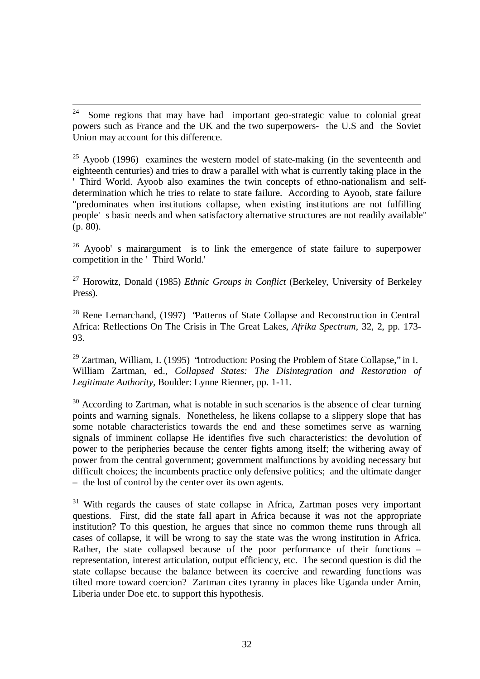$\frac{1}{24}$  Some regions that may have had important geo-strategic value to colonial great powers such as France and the UK and the two superpowers- the U.S and the Soviet Union may account for this difference.

<sup>25</sup> Ayoob (1996) examines the western model of state-making (in the seventeenth and eighteenth centuries) and tries to draw a parallel with what is currently taking place in the ' Third World. Ayoob also examines the twin concepts of ethno-nationalism and selfdetermination which he tries to relate to state failure. According to Ayoob, state failure "predominates when institutions collapse, when existing institutions are not fulfilling people' s basic needs and when satisfactory alternative structures are not readily available" (p. 80).

 $26$  Ayoob' s mainargument is to link the emergence of state failure to superpower competition in the ' Third World.'

<sup>27</sup> Horowitz, Donald (1985) *Ethnic Groups in Conflict* (Berkeley, University of Berkeley Press).

<sup>28</sup> Rene Lemarchand, (1997) "Patterns of State Collapse and Reconstruction in Central Africa: Reflections On The Crisis in The Great Lakes, *Afrika Spectrum,* 32, 2, pp. 173- 93.

<sup>29</sup> Zartman, William, I. (1995) "Introduction: Posing the Problem of State Collapse," in I. William Zartman, ed., *Collapsed States: The Disintegration and Restoration of Legitimate Authority,* Boulder: Lynne Rienner, pp. 1-11.

 $30$  According to Zartman, what is notable in such scenarios is the absence of clear turning points and warning signals. Nonetheless, he likens collapse to a slippery slope that has some notable characteristics towards the end and these sometimes serve as warning signals of imminent collapse He identifies five such characteristics: the devolution of power to the peripheries because the center fights among itself; the withering away of power from the central government; government malfunctions by avoiding necessary but difficult choices; the incumbents practice only defensive politics; and the ultimate danger – the lost of control by the center over its own agents.

 $31$  With regards the causes of state collapse in Africa, Zartman poses very important questions. First, did the state fall apart in Africa because it was not the appropriate institution? To this question, he argues that since no common theme runs through all cases of collapse, it will be wrong to say the state was the wrong institution in Africa. Rather, the state collapsed because of the poor performance of their functions  $$ representation, interest articulation, output efficiency, etc. The second question is did the state collapse because the balance between its coercive and rewarding functions was tilted more toward coercion? Zartman cites tyranny in places like Uganda under Amin, Liberia under Doe etc. to support this hypothesis.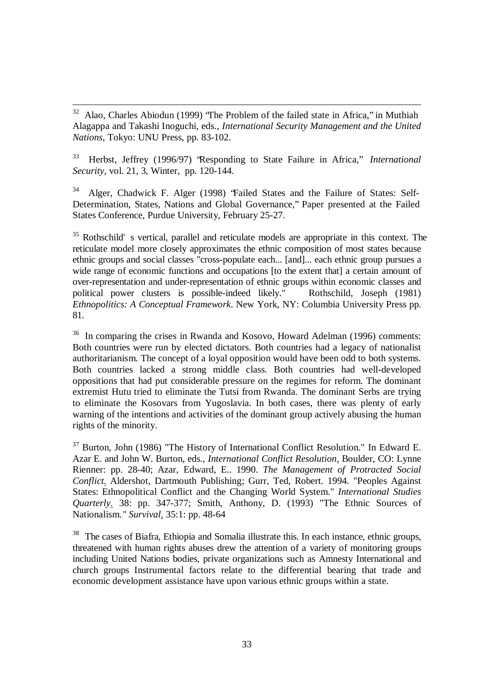$32\,$ <sup>32</sup> Alao, Charles Abiodun (1999) "The Problem of the failed state in Africa," in Muthiah Alagappa and Takashi Inoguchi, eds., *International Security Management and the United Nations,* Tokyo: UNU Press, pp. 83-102.

<sup>33</sup> Herbst, Jeffrey (1996/97) "Responding to State Failure in Africa," *International Security,* vol. 21, 3, Winter, pp. 120-144.

34 Alger, Chadwick F. Alger (1998) "Failed States and the Failure of States: Self-Determination, States, Nations and Global Governance," Paper presented at the Failed States Conference, Purdue University, February 25-27.

<sup>35</sup> Rothschild' s vertical, parallel and reticulate models are appropriate in this context. The reticulate model more closely approximates the ethnic composition of most states because ethnic groups and social classes "cross-populate each... [and]... each ethnic group pursues a wide range of economic functions and occupations [to the extent that] a certain amount of over-representation and under-representation of ethnic groups within economic classes and political power clusters is possible-indeed likely." Rothschild, Joseph (1981) *Ethnopolitics: A Conceptual Framework*. New York, NY: Columbia University Press pp. 81.

<sup>36</sup> In comparing the crises in Rwanda and Kosovo, Howard Adelman (1996) comments: Both countries were run by elected dictators. Both countries had a legacy of nationalist authoritarianism. The concept of a loyal opposition would have been odd to both systems. Both countries lacked a strong middle class. Both countries had well-developed oppositions that had put considerable pressure on the regimes for reform. The dominant extremist Hutu tried to eliminate the Tutsi from Rwanda. The dominant Serbs are trying to eliminate the Kosovars from Yugoslavia. In both cases, there was plenty of early warning of the intentions and activities of the dominant group actively abusing the human rights of the minority.

 $37$  Burton, John (1986) "The History of International Conflict Resolution." In Edward E. Azar E. and John W. Burton, eds*., International Conflict Resolution*. Boulder, CO: Lynne Rienner: pp. 28-40; Azar, Edward, E.. 1990. *The Management of Protracted Social Conflict*. Aldershot, Dartmouth Publishing; Gurr, Ted, Robert. 1994. "Peoples Against States: Ethnopolitical Conflict and the Changing World System." *International Studies Quarterly*. 38: pp. 347-377; Smith, Anthony, D. (1993) "The Ethnic Sources of Nationalism*." Survival*. 35:1: pp. 48-64

<sup>38</sup> The cases of Biafra, Ethiopia and Somalia illustrate this. In each instance, ethnic groups, threatened with human rights abuses drew the attention of a variety of monitoring groups including United Nations bodies, private organizations such as Amnesty International and church groups Instrumental factors relate to the differential bearing that trade and economic development assistance have upon various ethnic groups within a state.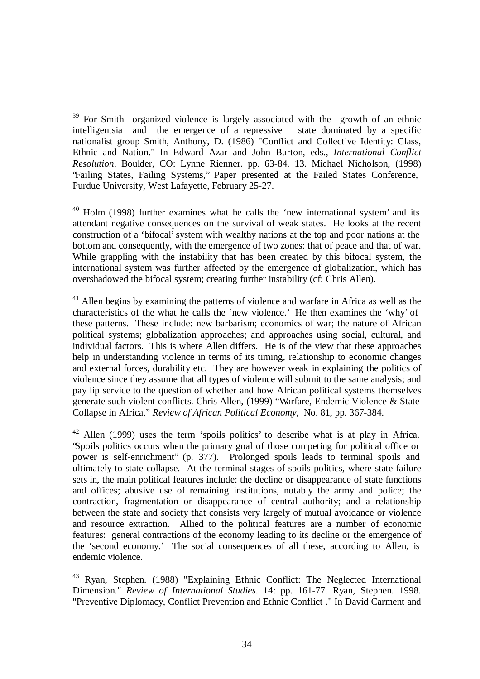<sup>39</sup> For Smith organized violence is largely associated with the growth of an ethnic intelligentsia and the emergence of a repressive state dominated by a specific nationalist group Smith, Anthony, D. (1986) "Conflict and Collective Identity: Class, Ethnic and Nation." In Edward Azar and John Burton, eds., *International Conflict Resolution*. Boulder, CO: Lynne Rienner. pp. 63-84. 13. Michael Nicholson, (1998) "Failing States, Failing Systems," Paper presented at the Failed States Conference, Purdue University, West Lafayette, February 25-27.

 $\overline{a}$ 

 $40$  Holm (1998) further examines what he calls the 'new international system' and its attendant negative consequences on the survival of weak states. He looks at the recent construction of a 'bifocal' system with wealthy nations at the top and poor nations at the bottom and consequently, with the emergence of two zones: that of peace and that of war. While grappling with the instability that has been created by this bifocal system, the international system was further affected by the emergence of globalization, which has overshadowed the bifocal system; creating further instability (cf: Chris Allen).

<sup>41</sup> Allen begins by examining the patterns of violence and warfare in Africa as well as the characteristics of the what he calls the 'new violence.' He then examines the 'why' of these patterns. These include: new barbarism; economics of war; the nature of African political systems; globalization approaches; and approaches using social, cultural, and individual factors. This is where Allen differs. He is of the view that these approaches help in understanding violence in terms of its timing, relationship to economic changes and external forces, durability etc. They are however weak in explaining the politics of violence since they assume that all types of violence will submit to the same analysis; and pay lip service to the question of whether and how African political systems themselves generate such violent conflicts. Chris Allen, (1999) "Warfare, Endemic Violence & State Collapse in Africa," *Review of African Political Economy,* No. 81, pp. 367-384.

<sup>42</sup> Allen (1999) uses the term 'spoils politics' to describe what is at play in Africa. "Spoils politics occurs when the primary goal of those competing for political office or power is self-enrichment" (p. 377). Prolonged spoils leads to terminal spoils and ultimately to state collapse. At the terminal stages of spoils politics, where state failure sets in, the main political features include: the decline or disappearance of state functions and offices; abusive use of remaining institutions, notably the army and police; the contraction, fragmentation or disappearance of central authority; and a relationship between the state and society that consists very largely of mutual avoidance or violence and resource extraction. Allied to the political features are a number of economic features: general contractions of the economy leading to its decline or the emergence of the 'second economy.' The social consequences of all these, according to Allen, is endemic violence.

<sup>43</sup> Ryan, Stephen. (1988) "Explaining Ethnic Conflict: The Neglected International Dimension." *Review of International Studies*. 14: pp. 161-77. Ryan, Stephen. 1998. "Preventive Diplomacy, Conflict Prevention and Ethnic Conflict ." In David Carment and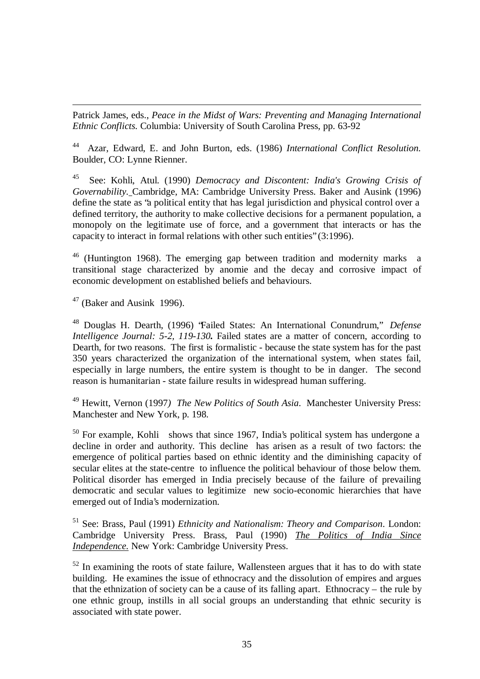$\overline{a}$ Patrick James, eds., *Peace in the Midst of Wars: Preventing and Managing International Ethnic Conflicts.* Columbia: University of South Carolina Press, pp. 63-92

44 Azar, Edward, E. and John Burton, eds. (1986) *International Conflict Resolution.* Boulder, CO: Lynne Rienner.

45 See: Kohli, Atul. (1990) *Democracy and Discontent: India's Growing Crisis of Governability.* Cambridge, MA: Cambridge University Press. Baker and Ausink (1996) define the state as "a political entity that has legal jurisdiction and physical control over a defined territory, the authority to make collective decisions for a permanent population, a monopoly on the legitimate use of force, and a government that interacts or has the capacity to interact in formal relations with other such entities" (3:1996).

<sup>46</sup> (Huntington 1968). The emerging gap between tradition and modernity marks a transitional stage characterized by anomie and the decay and corrosive impact of economic development on established beliefs and behaviours.

 $47$  (Baker and Ausink 1996).

<sup>48</sup> Douglas H. Dearth, (1996) "Failed States: An International Conundrum," *Defense Intelligence Journal: 5-2, 119-130.* Failed states are a matter of concern, according to Dearth, for two reasons. The first is formalistic - because the state system has for the past 350 years characterized the organization of the international system, when states fail, especially in large numbers, the entire system is thought to be in danger. The second reason is humanitarian - state failure results in widespread human suffering.

<sup>49</sup> Hewitt, Vernon (1997*) The New Politics of South Asia*. Manchester University Press: Manchester and New York, p. 198.

 $50$  For example, Kohli shows that since 1967, India's political system has undergone a decline in order and authority. This decline has arisen as a result of two factors: the emergence of political parties based on ethnic identity and the diminishing capacity of secular elites at the state-centre to influence the political behaviour of those below them. Political disorder has emerged in India precisely because of the failure of prevailing democratic and secular values to legitimize new socio-economic hierarchies that have emerged out of India's modernization.

<sup>51</sup> See: Brass, Paul (1991) *Ethnicity and Nationalism: Theory and Comparison*. London: Cambridge University Press. Brass, Paul (1990) *The Politics of India Since Independence.* New York: Cambridge University Press.

 $52$  In examining the roots of state failure, Wallensteen argues that it has to do with state building. He examines the issue of ethnocracy and the dissolution of empires and argues that the ethnization of society can be a cause of its falling apart. Ethnocracy – the rule by one ethnic group, instills in all social groups an understanding that ethnic security is associated with state power.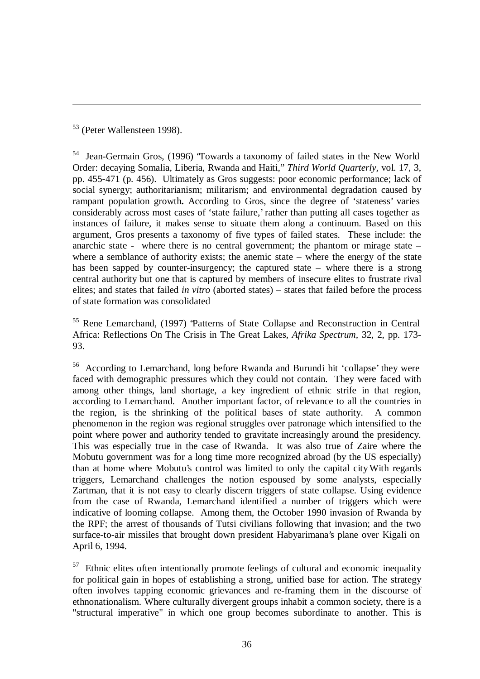<sup>53</sup> (Peter Wallensteen 1998).

 $\overline{a}$ 

<sup>54</sup> Jean-Germain Gros, (1996) "Towards a taxonomy of failed states in the New World Order: decaying Somalia, Liberia, Rwanda and Haiti," *Third World Quarterly,* vol. 17, 3, pp. 455-471 (p. 456). Ultimately as Gros suggests: poor economic performance; lack of social synergy; authoritarianism; militarism; and environmental degradation caused by rampant population growth**.** According to Gros, since the degree of 'stateness' varies considerably across most cases of 'state failure,' rather than putting all cases together as instances of failure, it makes sense to situate them along a continuum. Based on this argument, Gros presents a taxonomy of five types of failed states. These include: the anarchic state - where there is no central government; the phantom or mirage state – where a semblance of authority exists; the anemic state – where the energy of the state has been sapped by counter-insurgency; the captured state – where there is a strong central authority but one that is captured by members of insecure elites to frustrate rival elites; and states that failed *in vitro* (aborted states) – states that failed before the process of state formation was consolidated

<sup>55</sup> Rene Lemarchand, (1997) "Patterns of State Collapse and Reconstruction in Central Africa: Reflections On The Crisis in The Great Lakes, *Afrika Spectrum,* 32, 2, pp. 173- 93.

<sup>56</sup> According to Lemarchand, long before Rwanda and Burundi hit 'collapse' they were faced with demographic pressures which they could not contain. They were faced with among other things, land shortage, a key ingredient of ethnic strife in that region, according to Lemarchand. Another important factor, of relevance to all the countries in the region, is the shrinking of the political bases of state authority. A common phenomenon in the region was regional struggles over patronage which intensified to the point where power and authority tended to gravitate increasingly around the presidency. This was especially true in the case of Rwanda. It was also true of Zaire where the Mobutu government was for a long time more recognized abroad (by the US especially) than at home where Mobutu's control was limited to only the capital cityWith regards triggers, Lemarchand challenges the notion espoused by some analysts, especially Zartman, that it is not easy to clearly discern triggers of state collapse. Using evidence from the case of Rwanda, Lemarchand identified a number of triggers which were indicative of looming collapse. Among them, the October 1990 invasion of Rwanda by the RPF; the arrest of thousands of Tutsi civilians following that invasion; and the two surface-to-air missiles that brought down president Habyarimana's plane over Kigali on April 6, 1994.

<sup>57</sup> Ethnic elites often intentionally promote feelings of cultural and economic inequality for political gain in hopes of establishing a strong, unified base for action. The strategy often involves tapping economic grievances and re-framing them in the discourse of ethnonationalism. Where culturally divergent groups inhabit a common society, there is a "structural imperative" in which one group becomes subordinate to another. This is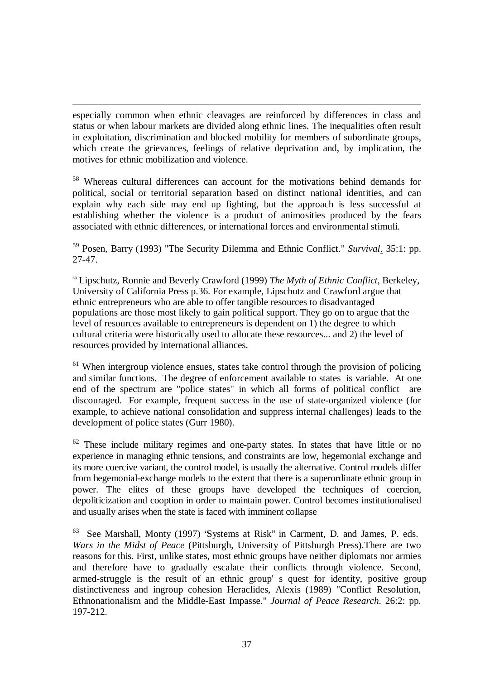$\overline{a}$ especially common when ethnic cleavages are reinforced by differences in class and status or when labour markets are divided along ethnic lines. The inequalities often result in exploitation, discrimination and blocked mobility for members of subordinate groups, which create the grievances, feelings of relative deprivation and, by implication, the motives for ethnic mobilization and violence.

<sup>58</sup> Whereas cultural differences can account for the motivations behind demands for political, social or territorial separation based on distinct national identities, and can explain why each side may end up fighting, but the approach is less successful at establishing whether the violence is a product of animosities produced by the fears associated with ethnic differences, or international forces and environmental stimuli.

<sup>59</sup> Posen, Barry (1993) "The Security Dilemma and Ethnic Conflict." *Survival*. 35:1: pp. 27-47.

<sup>60</sup> Lipschutz, Ronnie and Beverly Crawford (1999) *The Myth of Ethnic Conflict,* Berkeley, University of California Press p.36. For example, Lipschutz and Crawford argue that ethnic entrepreneurs who are able to offer tangible resources to disadvantaged populations are those most likely to gain political support. They go on to argue that the level of resources available to entrepreneurs is dependent on 1) the degree to which cultural criteria were historically used to allocate these resources... and 2) the level of resources provided by international alliances.

<sup>61</sup> When intergroup violence ensues, states take control through the provision of policing and similar functions. The degree of enforcement available to states is variable. At one end of the spectrum are "police states" in which all forms of political conflict are discouraged. For example, frequent success in the use of state-organized violence (for example, to achieve national consolidation and suppress internal challenges) leads to the development of police states (Gurr 1980).

<sup>62</sup> These include military regimes and one-party states. In states that have little or no experience in managing ethnic tensions, and constraints are low, hegemonial exchange and its more coercive variant, the control model, is usually the alternative. Control models differ from hegemonial-exchange models to the extent that there is a superordinate ethnic group in power. The elites of these groups have developed the techniques of coercion, depoliticization and cooption in order to maintain power. Control becomes institutionalised and usually arises when the state is faced with imminent collapse

63 See Marshall, Monty (1997) "Systems at Risk" in Carment, D. and James, P. eds. *Wars in the Midst of Peace* (Pittsburgh, University of Pittsburgh Press).There are two reasons for this. First, unlike states, most ethnic groups have neither diplomats nor armies and therefore have to gradually escalate their conflicts through violence. Second, armed-struggle is the result of an ethnic group' s quest for identity, positive group distinctiveness and ingroup cohesion Heraclides, Alexis (1989) "Conflict Resolution, Ethnonationalism and the Middle-East Impasse." *Journal of Peace Research*. 26:2: pp. 197-212.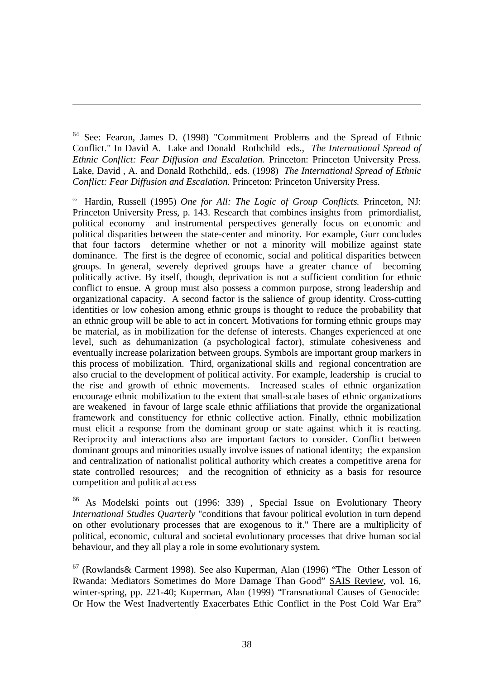<sup>64</sup> See: Fearon, James D. (1998) "Commitment Problems and the Spread of Ethnic Conflict." In David A. Lake and Donald Rothchild eds., *The International Spread of Ethnic Conflict: Fear Diffusion and Escalation.* Princeton: Princeton University Press. Lake, David , A. and Donald Rothchild,. eds. (1998) *The International Spread of Ethnic Conflict: Fear Diffusion and Escalation*. Princeton: Princeton University Press.

 $\overline{a}$ 

65 Hardin, Russell (1995) *One for All: The Logic of Group Conflicts.* Princeton, NJ: Princeton University Press, p. 143. Research that combines insights from primordialist, political economy and instrumental perspectives generally focus on economic and political disparities between the state-center and minority. For example, Gurr concludes that four factors determine whether or not a minority will mobilize against state dominance. The first is the degree of economic, social and political disparities between groups. In general, severely deprived groups have a greater chance of becoming politically active. By itself, though, deprivation is not a sufficient condition for ethnic conflict to ensue. A group must also possess a common purpose, strong leadership and organizational capacity. A second factor is the salience of group identity. Cross-cutting identities or low cohesion among ethnic groups is thought to reduce the probability that an ethnic group will be able to act in concert. Motivations for forming ethnic groups may be material, as in mobilization for the defense of interests. Changes experienced at one level, such as dehumanization (a psychological factor), stimulate cohesiveness and eventually increase polarization between groups. Symbols are important group markers in this process of mobilization. Third, organizational skills and regional concentration are also crucial to the development of political activity. For example, leadership is crucial to the rise and growth of ethnic movements. Increased scales of ethnic organization encourage ethnic mobilization to the extent that small-scale bases of ethnic organizations are weakened in favour of large scale ethnic affiliations that provide the organizational framework and constituency for ethnic collective action. Finally, ethnic mobilization must elicit a response from the dominant group or state against which it is reacting. Reciprocity and interactions also are important factors to consider. Conflict between dominant groups and minorities usually involve issues of national identity; the expansion and centralization of nationalist political authority which creates a competitive arena for state controlled resources; and the recognition of ethnicity as a basis for resource competition and political access

<sup>66</sup> As Modelski points out (1996: 339) , Special Issue on Evolutionary Theory *International Studies Quarterly* "conditions that favour political evolution in turn depend on other evolutionary processes that are exogenous to it." There are a multiplicity of political, economic, cultural and societal evolutionary processes that drive human social behaviour, and they all play a role in some evolutionary system.

<sup>67</sup> (Rowlands& Carment 1998). See also Kuperman, Alan (1996) "The Other Lesson of Rwanda: Mediators Sometimes do More Damage Than Good" SAIS Review, vol. 16, winter-spring, pp. 221-40; Kuperman, Alan (1999) "Transnational Causes of Genocide: Or How the West Inadvertently Exacerbates Ethic Conflict in the Post Cold War Era"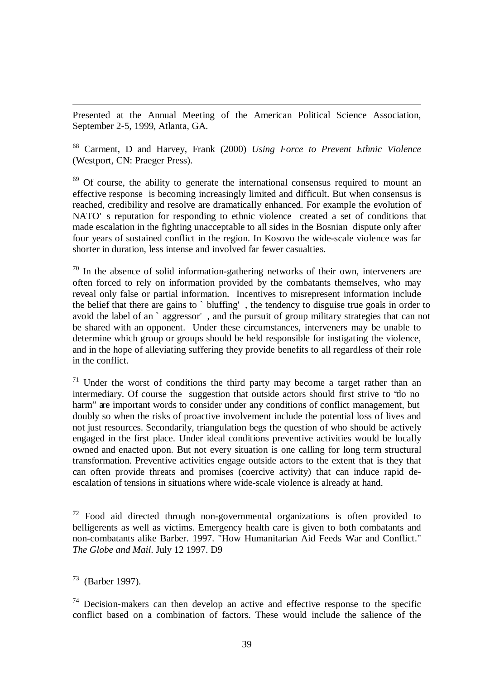Presented at the Annual Meeting of the American Political Science Association, September 2-5, 1999, Atlanta, GA.

<sup>68</sup> Carment, D and Harvey, Frank (2000) *Using Force to Prevent Ethnic Violence* (Westport, CN: Praeger Press).

<sup>69</sup> Of course, the ability to generate the international consensus required to mount an effective response is becoming increasingly limited and difficult. But when consensus is reached, credibility and resolve are dramatically enhanced. For example the evolution of NATO' s reputation for responding to ethnic violence created a set of conditions that made escalation in the fighting unacceptable to all sides in the Bosnian dispute only after four years of sustained conflict in the region. In Kosovo the wide-scale violence was far shorter in duration, less intense and involved far fewer casualties.

 $70$  In the absence of solid information-gathering networks of their own, interveners are often forced to rely on information provided by the combatants themselves, who may reveal only false or partial information. Incentives to misrepresent information include the belief that there are gains to ` bluffing' , the tendency to disguise true goals in order to avoid the label of an ` aggressor' , and the pursuit of group military strategies that can not be shared with an opponent. Under these circumstances, interveners may be unable to determine which group or groups should be held responsible for instigating the violence, and in the hope of alleviating suffering they provide benefits to all regardless of their role in the conflict.

<sup>71</sup> Under the worst of conditions the third party may become a target rather than an intermediary. Of course the suggestion that outside actors should first strive to 'do no harm" are important words to consider under any conditions of conflict management, but doubly so when the risks of proactive involvement include the potential loss of lives and not just resources. Secondarily, triangulation begs the question of who should be actively engaged in the first place. Under ideal conditions preventive activities would be locally owned and enacted upon. But not every situation is one calling for long term structural transformation. Preventive activities engage outside actors to the extent that is they that can often provide threats and promises (coercive activity) that can induce rapid deescalation of tensions in situations where wide-scale violence is already at hand.

 $72$  Food aid directed through non-governmental organizations is often provided to belligerents as well as victims. Emergency health care is given to both combatants and non-combatants alike Barber. 1997. "How Humanitarian Aid Feeds War and Conflict." *The Globe and Mail*. July 12 1997. D9

73 (Barber 1997).

 $\overline{a}$ 

 $74$  Decision-makers can then develop an active and effective response to the specific conflict based on a combination of factors. These would include the salience of the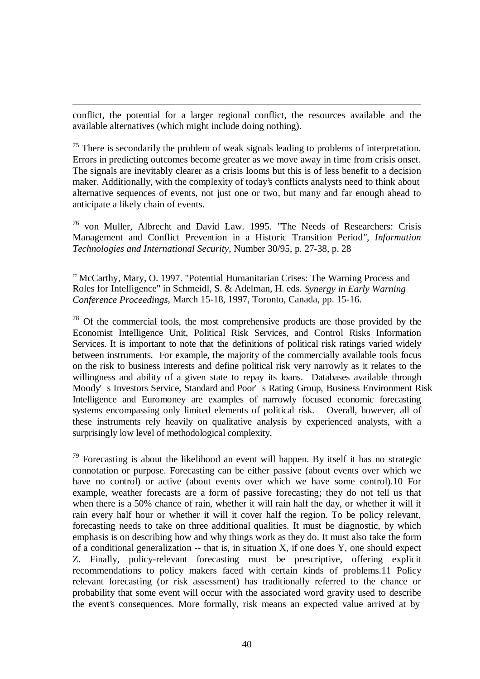conflict, the potential for a larger regional conflict, the resources available and the available alternatives (which might include doing nothing).

 $\overline{a}$ 

 $75$  There is secondarily the problem of weak signals leading to problems of interpretation. Errors in predicting outcomes become greater as we move away in time from crisis onset. The signals are inevitably clearer as a crisis looms but this is of less benefit to a decision maker. Additionally, with the complexity of today's conflicts analysts need to think about alternative sequences of events, not just one or two, but many and far enough ahead to anticipate a likely chain of events.

<sup>76</sup> von Muller, Albrecht and David Law. 1995. "The Needs of Researchers: Crisis Management and Conflict Prevention in a Historic Transition Period*", Information Technologies and International Security*, Number 30/95, p. 27-38, p. 28

<sup>77</sup> McCarthy, Mary, O. 1997. "Potential Humanitarian Crises: The Warning Process and Roles for Intelligence" in Schmeidl, S. & Adelman, H. eds. *Synergy in Early Warning Conference Proceedings*, March 15-18, 1997, Toronto, Canada, pp. 15-16.

 $78$  Of the commercial tools, the most comprehensive products are those provided by the Economist Intelligence Unit, Political Risk Services, and Control Risks Information Services. It is important to note that the definitions of political risk ratings varied widely between instruments. For example, the majority of the commercially available tools focus on the risk to business interests and define political risk very narrowly as it relates to the willingness and ability of a given state to repay its loans. Databases available through Moody' s Investors Service, Standard and Poor' s Rating Group, Business Environment Risk Intelligence and Euromoney are examples of narrowly focused economic forecasting systems encompassing only limited elements of political risk. Overall, however, all of these instruments rely heavily on qualitative analysis by experienced analysts, with a surprisingly low level of methodological complexity.

<sup>79</sup> Forecasting is about the likelihood an event will happen. By itself it has no strategic connotation or purpose. Forecasting can be either passive (about events over which we have no control) or active (about events over which we have some control).10 For example, weather forecasts are a form of passive forecasting; they do not tell us that when there is a 50% chance of rain, whether it will rain half the day, or whether it will it rain every half hour or whether it will it cover half the region. To be policy relevant, forecasting needs to take on three additional qualities. It must be diagnostic, by which emphasis is on describing how and why things work as they do. It must also take the form of a conditional generalization -- that is, in situation X, if one does Y, one should expect Z. Finally, policy-relevant forecasting must be prescriptive, offering explicit recommendations to policy makers faced with certain kinds of problems.11 Policy relevant forecasting (or risk assessment) has traditionally referred to the chance or probability that some event will occur with the associated word gravity used to describe the event's consequences. More formally, risk means an expected value arrived at by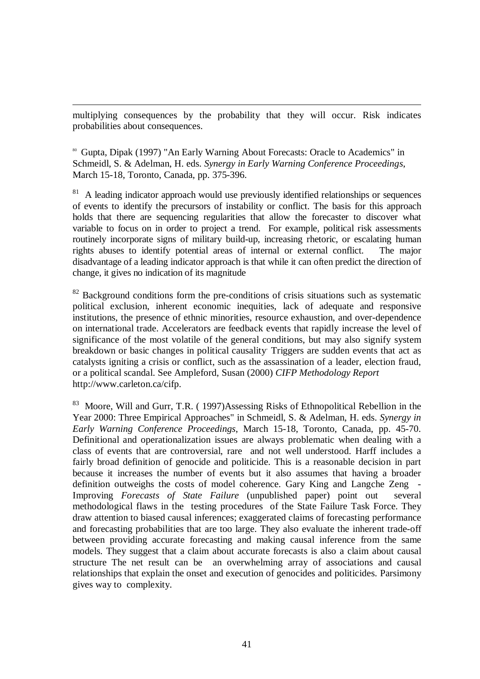multiplying consequences by the probability that they will occur. Risk indicates probabilities about consequences.

 $\overline{a}$ 

<sup>80</sup> Gupta, Dipak (1997) "An Early Warning About Forecasts: Oracle to Academics" in Schmeidl, S. & Adelman, H. eds. *Synergy in Early Warning Conference Proceedings*, March 15-18, Toronto, Canada, pp. 375-396.

81 A leading indicator approach would use previously identified relationships or sequences of events to identify the precursors of instability or conflict. The basis for this approach holds that there are sequencing regularities that allow the forecaster to discover what variable to focus on in order to project a trend. For example, political risk assessments routinely incorporate signs of military build-up, increasing rhetoric, or escalating human rights abuses to identify potential areas of internal or external conflict. The major disadvantage of a leading indicator approach is that while it can often predict the direction of change, it gives no indication of its magnitude

 $82$  Background conditions form the pre-conditions of crisis situations such as systematic political exclusion, inherent economic inequities, lack of adequate and responsive institutions, the presence of ethnic minorities, resource exhaustion, and over-dependence on international trade. Accelerators are feedback events that rapidly increase the level of significance of the most volatile of the general conditions, but may also signify system breakdown or basic changes in political causality . Triggers are sudden events that act as catalysts igniting a crisis or conflict, such as the assassination of a leader, election fraud, or a political scandal. See Ampleford, Susan (2000) *CIFP Methodology Report* http://www.carleton.ca/cifp.

83 Moore, Will and Gurr, T.R. (1997)Assessing Risks of Ethnopolitical Rebellion in the Year 2000: Three Empirical Approaches" in Schmeidl, S. & Adelman, H. eds. *Synergy in Early Warning Conference Proceedings*, March 15-18, Toronto, Canada, pp. 45-70. Definitional and operationalization issues are always problematic when dealing with a class of events that are controversial, rare and not well understood. Harff includes a fairly broad definition of genocide and politicide. This is a reasonable decision in part because it increases the number of events but it also assumes that having a broader definition outweighs the costs of model coherence. Gary King and Langche Zeng - Improving *Forecasts of State Failure* (unpublished paper) point out several methodological flaws in the testing procedures of the State Failure Task Force. They draw attention to biased causal inferences; exaggerated claims of forecasting performance and forecasting probabilities that are too large. They also evaluate the inherent trade-off between providing accurate forecasting and making causal inference from the same models. They suggest that a claim about accurate forecasts is also a claim about causal structure The net result can be an overwhelming array of associations and causal relationships that explain the onset and execution of genocides and politicides. Parsimony gives way to complexity.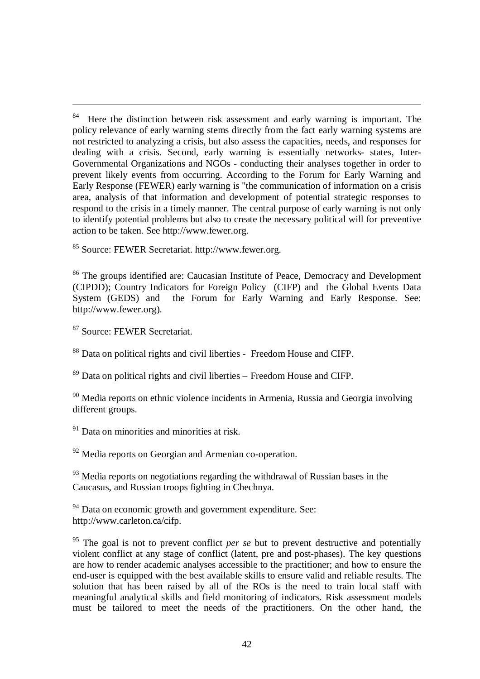<sup>85</sup> Source: FEWER Secretariat. http://www.fewer.org.

<sup>86</sup> The groups identified are: Caucasian Institute of Peace, Democracy and Development (CIPDD); Country Indicators for Foreign Policy (CIFP) and the Global Events Data System (GEDS) and the Forum for Early Warning and Early Response. See: http://www.fewer.org).

<sup>87</sup> Source: FEWER Secretariat.

 $\overline{a}$ 

<sup>88</sup> Data on political rights and civil liberties - Freedom House and CIFP.

<sup>89</sup> Data on political rights and civil liberties – Freedom House and CIFP.

 $90$  Media reports on ethnic violence incidents in Armenia, Russia and Georgia involving different groups.

<sup>91</sup> Data on minorities and minorities at risk.

<sup>92</sup> Media reports on Georgian and Armenian co-operation.

<sup>93</sup> Media reports on negotiations regarding the withdrawal of Russian bases in the Caucasus, and Russian troops fighting in Chechnya.

<sup>94</sup> Data on economic growth and government expenditure. See: http://www.carleton.ca/cifp.

<sup>95</sup> The goal is not to prevent conflict *per se* but to prevent destructive and potentially violent conflict at any stage of conflict (latent, pre and post-phases). The key questions are how to render academic analyses accessible to the practitioner; and how to ensure the end-user is equipped with the best available skills to ensure valid and reliable results. The solution that has been raised by all of the ROs is the need to train local staff with meaningful analytical skills and field monitoring of indicators. Risk assessment models must be tailored to meet the needs of the practitioners. On the other hand, the

<sup>84</sup> Here the distinction between risk assessment and early warning is important. The policy relevance of early warning stems directly from the fact early warning systems are not restricted to analyzing a crisis, but also assess the capacities, needs, and responses for dealing with a crisis. Second, early warning is essentially networks- states, Inter-Governmental Organizations and NGOs - conducting their analyses together in order to prevent likely events from occurring. According to the Forum for Early Warning and Early Response (FEWER) early warning is "the communication of information on a crisis area, analysis of that information and development of potential strategic responses to respond to the crisis in a timely manner. The central purpose of early warning is not only to identify potential problems but also to create the necessary political will for preventive action to be taken. See http://www.fewer.org.